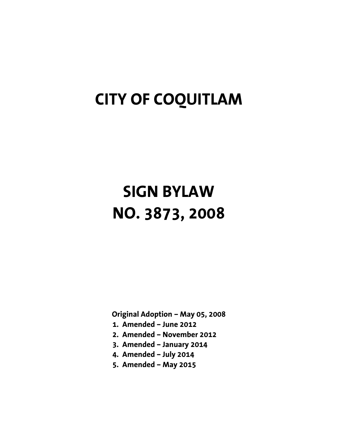# **CITY OF COQUITLAM**

# **SIGN BYLAW NO. 3873, 2008**

**Original Adoption – May 05, 2008** 

- **1. Amended June 2012**
- **2. Amended November 2012**
- **3. Amended January 2014**
- **4. Amended July 2014**
- **5. Amended May 2015**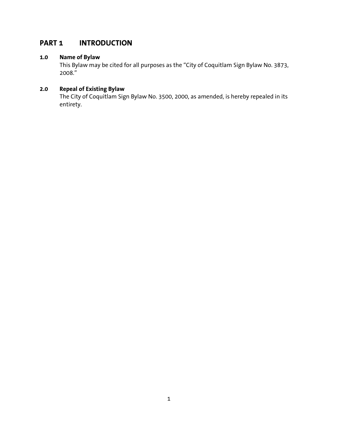# **PART 1 INTRODUCTION**

### **1.0 Name of Bylaw**

 This Bylaw may be cited for all purposes as the "City of Coquitlam Sign Bylaw No. 3873, 2008."

## **2.0 Repeal of Existing Bylaw**

 The City of Coquitlam Sign Bylaw No. 3500, 2000, as amended, is hereby repealed in its entirety.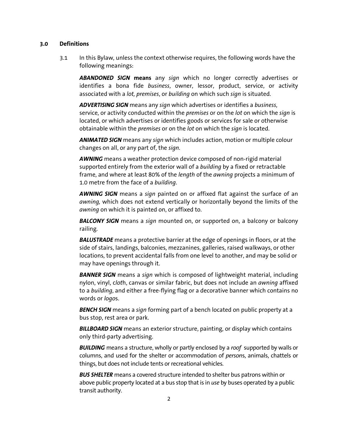3.1 In this Bylaw, unless the context otherwise requires, the following words have the following meanings:

*ABANDONED SIGN* **means** any *sign* which no longer correctly advertises or identifies a bona fide *business*, owner, lessor, product, service, or activity associated with a *lot, premises*, or *building* on which such *sign* is situated.

*ADVERTISING SIGN* means any *sign* which advertises or identifies a *business*, service, or activity conducted within the *premises* or on the *lot* on which the *sign* is located, or which advertises or identifies goods or services for sale or otherwise obtainable within the *premises* or on the *lot* on which the *sign* is located.

*ANIMATED SIGN* means any *sign* which includes action, motion or multiple colour changes on all, or any part of, the *sign.*

*AWNING* means a weather protection device composed of non-rigid material supported entirely from the exterior wall of a *building* by a fixed or retractable frame, and where at least 80% of the *length* of the *awning* projects a minimum of 1.0 metre from the face of a *building*.

*AWNING SIGN* means a *sign* painted on or affixed flat against the surface of an *awning,* which does not extend vertically or horizontally beyond the limits of the *awning* on which it is painted on, or affixed to.

*BALCONY SIGN* means a *sign* mounted on, or supported on, a balcony or balcony railing.

*BALUSTRADE* means a protective barrier at the edge of openings in floors, or at the side of stairs, landings, balconies, mezzanines, galleries, raised walkways, or other locations, to prevent accidental falls from one level to another, and may be solid or may have openings through it.

*BANNER SIGN* means a *sign* which is composed of lightweight material, including nylon, vinyl, c*lot*h, canvas or similar fabric, but does not include an *awning* affixed to a *building*, and either a free-flying flag or a decorative banner which contains no words or *logo*s.

*BENCH SIGN* means a *sign* forming part of a bench located on public property at a bus stop, rest area or park.

*BILLBOARD SIGN* means an exterior structure, painting, or display which contains only third-party advertising.

 *BUILDING* means a structure, wholly or partly enclosed by a *roof* supported by walls or columns, and used for the shelter or accommodation of *person*s, animals, chattels or things, but does not include tents or recreational vehicles.

*BUS SHELTER* means a covered structure intended to shelter bus patrons within or above public property located at a bus stop that is in *use* by buses operated by a public transit authority.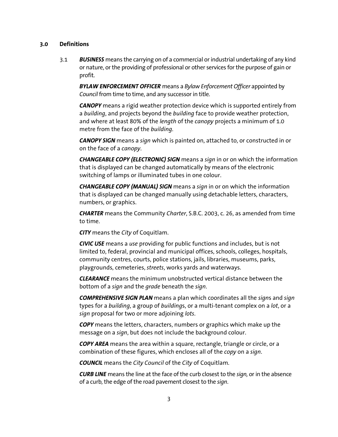3.1 *BUSINESS* means the carrying on of a commercial or industrial undertaking of any kind or nature, or the providing of professional or other services for the purpose of gain or profit.

*BYLAW ENFORCEMENT OFFICER* means a *Bylaw Enforcement Officer* appointed by *Council* from time to time, and any successor in title.

*CANOPY* means a rigid weather protection device which is supported entirely from a *building*, and projects beyond the *building* face to provide weather protection, and where at least 80% of the *length* of the *canopy* projects a minimum of 1.0 metre from the face of the *building*.

*CANOPY SIGN* means a *sign* which is painted on, attached to, or constructed in or on the face of a *canopy*.

*CHANGEABLE COPY (ELECTRONIC) SIGN* means a *sign* in or on which the information that is displayed can be changed automatically by means of the electronic switching of lamps or illuminated tubes in one colour.

*CHANGEABLE COPY (MANUAL) SIGN* means a *sign* in or on which the information that is displayed can be changed manually using detachable letters, characters, numbers, or graphics.

*CHARTER* means the Community *Charter*, S.B.C. 2003, c. 26, as amended from time to time.

*CITY* means the *City* of Coquitlam.

*CIVIC USE* means a *use* providing for public functions and includes, but is not limited to, federal, provincial and municipal offices, schools, colleges, hospitals, community centres, courts, police stations, jails, libraries, museums, parks, playgrounds, cemeteries, *streets*, works yards and waterways.

*CLEARANCE* means the minimum unobstructed vertical distance between the bottom of a *sign* and the *grade* beneath the *sign*.

 *COMPREHENSIVE SIGN PLAN* means a plan which coordinates all the *sign*s and *sign*  types for a *building*, a group of *building*s, or a multi-tenant complex on a *lot*, or a *sign* proposal for two or more adjoining *lots*.

*COPY* means the letters, characters, numbers or graphics which make up the message on a *sign*, but does not include the background colour.

*COPY AREA* means the area within a square, rectangle, triangle or circle, or a combination of these figures, which encloses all of the *copy* on a *sign*.

*COUNCIL* means the *City Council* of the *City* of Coquitlam.

*CURB LINE* means the line at the face of the curb closest to the *sign,* or in the absence of a curb, the edge of the road pavement closest to the *sign*.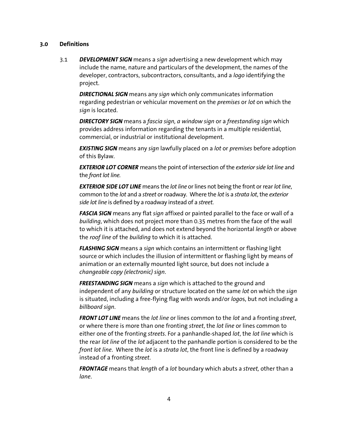3.1 *DEVELOPMENT SIGN* means a *sign* advertising a new development which may include the name, nature and particulars of the development, the names of the developer, contractors, subcontractors, consultants, and a *logo* identifying the project.

*DIRECTIONAL SIGN* means any *sign* which only communicates information regarding pedestrian or vehicular movement on the *premises* or *lot* on which the *sign* is located.

*DIRECTORY SIGN* means a *fascia sign, a window sign* or a *freestanding sign* which provides address information regarding the tenants in a multiple residential, commercial, or industrial or institutional development.

*EXISTING SIGN* means any *sign* lawfully placed on a *lot* or *premises* before adoption of this Bylaw.

*EXTERIOR LOT CORNER* means the point of intersection of the *exterior side lot line* and the *front lot line.*

*EXTERIOR SIDE LOT LINE* means the *lot line* or lines not being the front or rear *lot line*, common to the *lot* and a *street* or roadway. Where the *lot* is a *strata lot*, the *exterior side lot line* is defined by a roadway instead of a *street*.

*FASCIA SIGN* means any flat *sign* affixed or painted parallel to the face or wall of a *building*, which does not project more than 0.35 metres from the face of the wall to which it is attached, and does not extend beyond the horizontal *length* or above the *roof line* of the *building* to which it is attached.

*FLASHING SIGN* means a *sign* which contains an intermittent or flashing light source or which includes the illusion of intermittent or flashing light by means of animation or an externally mounted light source, but does not include a *changeable copy (electronic) sign*.

 *FREESTANDING SIGN* means a *sign* which is attached to the ground and independent of any *building* or structure located on the same *lot* on which the *sign*  is situated, including a free-flying flag with words and/or *logo*s, but not including a *billboard sign*.

*FRONT LOT LINE* means the *lot line* or lines common to the *lot* and a fronting *street*, or where there is more than one fronting *street*, the *lot line* or lines common to either one of the fronting *streets*. For a panhandle-shaped *lot*, the *lot line* which is the rear *lot line* of the *lot* adjacent to the panhandle portion is considered to be the *front lot line*. Where the *lot* is a *strata lot*, the front line is defined by a roadway instead of a fronting *street*.

*FRONTAGE* means that *length* of a *lot* boundary which abuts a *street,* other than a *lane*.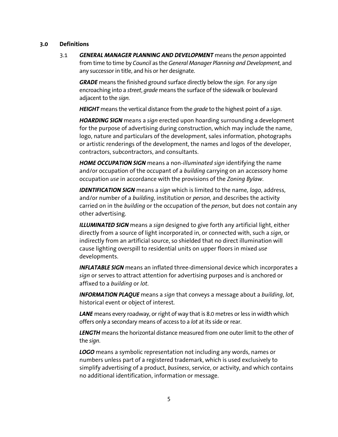3.1 *GENERAL MANAGER PLANNING AND DEVELOPMENT* means the *person* appointed from time to time by *Council* as the *General Manager Planning and Development*, and any successor in title, and his or her designate.

*GRADE* means the finished ground surface directly below the *sign*. For any *sign*  encroaching into a *street*, *grade* means the surface of the sidewalk or boulevard adjacent to the *sign.* 

*HEIGHT* means the vertical distance from the *grade* to the highest point of a *sign*.

*HOARDING SIGN* means a *sign* erected upon hoarding surrounding a development for the purpose of advertising during construction, which may include the name, logo, nature and particulars of the development, sales information, photographs or artistic renderings of the development, the names and logos of the developer, contractors, subcontractors, and consultants.

*HOME OCCUPATION SIGN* means a non-*illuminated sign* identifying the name and/or occupation of the occupant of a *building* carrying on an accessory home occupation *use* in accordance with the provisions of the *Zoning Bylaw*.

*IDENTIFICATION SIGN* means a *sign* which is limited to the name, *logo*, address, and/or number of a *building*, institution or *person,* and describes the activity carried on in the *building* or the occupation of the *person*, but does not contain any other advertising.

*ILLUMINATED SIGN* means a *sign* designed to give forth any artificial light, either directly from a source of light incorporated in, or connected with, such a *sign*, or indirectly from an artificial source, so shielded that no direct illumination will cause lighting overspill to residential units on upper floors in mixed *use* developments.

*INFLATABLE SIGN* means an inflated three-dimensional device which incorporates a *sign* or serves to attract attention for advertising purposes and is anchored or affixed to a *building* or *lot*.

 *INFORMATION PLAQUE* means a *sign* that conveys a message about a *building*, *lot*, historical event or object of interest.

*LANE* means every roadway, or right of way that is 8.0 metres or less in width which offers only a secondary means of access to a *lot* at its side or rear.

*LENGTH* means the horizontal distance measured from one outer limit to the other of the *sign*.

*LOGO* means a symbolic representation not including any words, names or numbers unless part of a registered trademark, which is used exclusively to simplify advertising of a product, *business*, service, or activity, and which contains no additional identification, information or message.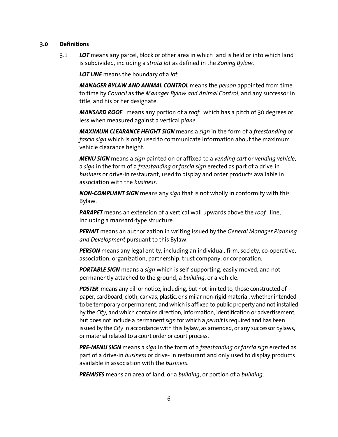3.1 *LOT* means any parcel, block or other area in which land is held or into which land is subdivided, including a *strata lot* as defined in the *Zoning Bylaw*.

*LOT LINE* means the boundary of a *lot*.

*MANAGER BYLAW AND ANIMAL CONTROL* means the *person* appointed from time to time by *Council* as the *Manager Bylaw and Animal Control*, and any successor in title, and his or her designate.

*MANSARD ROOF* means any portion of a *roof* which has a pitch of 30 degrees or less when measured against a vertical p*lane*.

*MAXIMUM CLEARANCE HEIGHT SIGN* means a *sign* in the form of a *freestanding* or *fascia sign* which is only used to communicate information about the maximum vehicle clearance height.

*MENU SIGN* means a *sign* painted on or affixed to a *vending cart* or *vending vehicle*, a *sign* in the form of a *freestanding* or *fascia sign* erected as part of a drive-in *business* or drive-in restaurant, used to display and order products available in association with the *business*.

*NON-COMPLIANT SIGN* means any *sign* that is not wholly in conformity with this Bylaw.

*PARAPET* means an extension of a vertical wall upwards above the *roof* line, including a mansard-type structure.

*PERMIT* means an authorization in writing issued by the *General Manager Planning and Development* pursuant to this Bylaw.

*PERSON* means any legal entity, including an individual, firm, society, co-operative, association, organization, partnership, trust company, or corporation.

**PORTABLE SIGN** means a *sign* which is self-supporting, easily moved, and not permanently attached to the ground, a *building*, or a vehicle.

**POSTER** means any bill or notice, including, but not limited to, those constructed of paper, cardboard, cloth, canvas, plastic, or similar non-rigid material, whether intended to be temporary or permanent, and which is affixed to public property and not installed by the *City*, and which contains direction, information, identification or advertisement, but does not include a permanent *sign* for which a *permit* is required and has been issued by the *City* in accordance with this bylaw, as amended, or any successor bylaws, or material related to a court order or court process.

*PRE-MENU SIGN* means a *sign* in the form of a *freestanding* or *fascia sign* erected as part of a drive-in *business* or drive- in restaurant and only used to display products available in association with the *business*.

*PREMISES* means an area of land, or a *building*, or portion of a *building*.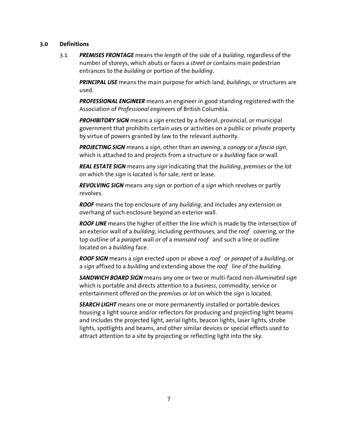3.1 *PREMISES FRONTAGE* means the *length* of the side of a *building*, regardless of the number of storeys, which abuts or faces a *street or* contains main pedestrian entrances to the *building* or portion of the *building*.

*PRINCIPAL USE* means the main purpose for which land, *buildings*, or structures are used.

*PROFESSIONAL ENGINEER* means an engineer in good standing registered with the Association of *Professional engineer*s of British Columbia.

**PROHIBITORY SIGN** means a *sign* erected by a federal, provincial, or municipal government that prohibits certain *use*s or activities on a public or private property by virtue of powers granted by law to the relevant authority.

*PROJECTING SIGN* means a *sign,* other than an *awning*, a *canopy* or a *fascia sign*, which is attached to and projects from a structure or a *building* face or wall.

*REAL ESTATE SIGN* means any *sign* indicating that the *building*, *premises* or the *lot* on which the *sign* is located is for sale, rent or lease.

 *REVOLVING SIGN* means any *sign* or portion of a *sign* which revolves or partly revolves.

*ROOF* means the top enclosure of any *building*, and includes any extension or overhang of such enclosure beyond an exterior wall.

 *ROOF LINE* means the higher of either the line which is made by the intersection of an exterior wall of a *building*, including penthouses, and the *roof* covering, or the top outline of a *parapet* wall or of a *mansard roof* and such a line or outline located on a *building* face.

 *ROOF SIGN* means a *sign* erected upon or above a *roof* or *parapet* of a *building*, or a *sign* affixed to a *building* and extending above the *roof line* of the *building*.

 *SANDWICH BOARD SIGN* means any one or two or multi-faced non-*illuminated sign*  which is portable and directs attention to a *business*, commodity, service or entertainment offered on the *premises* or *lot* on which the *sign* is located.

 *SEARCH LIGHT* means one or more permanently installed or portable devices housing a light source and/or reflectors for producing and projecting light beams and includes the projected light, aerial lights, beacon lights, laser lights, strobe lights, spotlights and beams, and other similar devices or special effects used to attract attention to a site by projecting or reflecting light into the sky.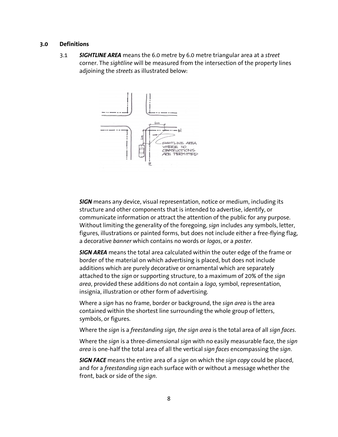3.1 *SIGHTLINE AREA* means the 6.0 metre by 6.0 metre triangular area at a *street* corner. The *sightline* will be measured from the intersection of the property lines adjoining the *streets* as illustrated below:



*SIGN* means any device, visual representation, notice or medium, including its structure and other components that is intended to advertise, identify, or communicate information or attract the attention of the public for any purpose. Without limiting the generality of the foregoing, *sign* includes any symbols, letter, figures, illustrations or painted forms, but does not include either a free-flying flag, a decorative *banner* which contains no words or *logos*, or a *poster*.

 *SIGN AREA* means the total area calculated within the outer edge of the frame or border of the material on which advertising is placed, but does not include additions which are purely decorative or ornamental which are separately attached to the *sign* or supporting structure, to a maximum of 20% of the *sign area*, provided these additions do not contain a *logo,* symbol, representation, insignia, illustration or other form of advertising*.* 

Where a *sign* has no frame, border or background, the *sign area* is the area contained within the shortest line surrounding the whole group of letters, symbols, or figures.

Where the *sign* is a *freestanding sign, the sign area* is the total area of all *sign faces*.

 Where the *sign* is a three-dimensional *sign* with no easily measurable face, the *sign area* is one-half the total area of all the vertical *sign faces* encompassing the *sign*.

 *SIGN FACE* means the entire area of a *sign* on which the *sign copy* could be placed, and for a *freestanding sign* each surface with or without a message whether the front, back or side of the *sign*.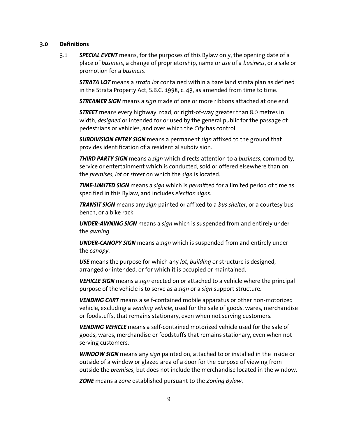3.1 *SPECIAL EVENT* means, for the purposes of this Bylaw only, the opening date of a place of *business*, a change of proprietorship, name or *use* of a *business*, or a sale or promotion for a *business*.

*STRATA LOT* means a *strata lot* contained within a bare land strata plan as defined in the Strata Property Act, S.B.C. 1998, c. 43, as amended from time to time.

*STREAMER SIGN* means a *sign* made of one or more ribbons attached at one end.

*STREET* means every highway, road, or right-of-way greater than 8.0 metres in width, *designed* or intended for or used by the general public for the passage of pedestrians or vehicles, and over which the *City* has control.

 *SUBDIVISION ENTRY SIGN* means a permanent *sign* affixed to the ground that provides identification of a residential subdivision.

*THIRD PARTY SIGN* means a *sign* which directs attention to a *business*, commodity, service or entertainment which is conducted, sold or offered elsewhere than on the *premises*, *lot* or *street* on which the *sign* is located.

*TIME-LIMITED SIGN* means a *sign* which is *permit*ted for a limited period of time as specified in this Bylaw, and includes *election signs*.

*TRANSIT SIGN* means any *sign* painted or affixed to a *bus shelter*, or a courtesy bus bench, or a bike rack.

*UNDER-AWNING SIGN* means a *sign* which is suspended from and entirely under the *awning*.

*UNDER-CANOPY SIGN* means a *sign* which is suspended from and entirely under the *canopy*.

*USE* means the purpose for which any *lot*, *building* or structure is designed, arranged or intended, or for which it is occupied or maintained.

*VEHICLE SIGN* means a *sign* erected on or attached to a vehicle where the principal purpose of the vehicle is to serve as a *sign* or a *sign* support structure.

*VENDING CART* means a self-contained mobile apparatus or other non-motorized vehicle, excluding a *vending vehicle*, used for the sale of goods, wares, merchandise or foodstuffs, that remains stationary, even when not serving customers.

*VENDING VEHICLE* means a self-contained motorized vehicle used for the sale of goods, wares, merchandise or foodstuffs that remains stationary, even when not serving customers.

*WINDOW SIGN* means any *sign* painted on, attached to or installed in the inside or outside of a window or glazed area of a door for the purpose of viewing from outside the *premises*, but does not include the merchandise located in the window.

*ZONE* means a *zone* established pursuant to the *Zoning Bylaw*.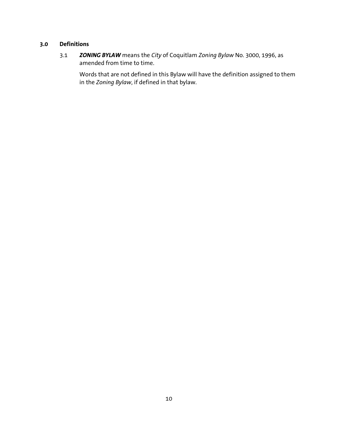3.1 *ZONING BYLAW* means the *City* of Coquitlam *Zoning Bylaw* No. 3000, 1996, as amended from time to time.

Words that are not defined in this Bylaw will have the definition assigned to them in the *Zoning Bylaw*, if defined in that bylaw.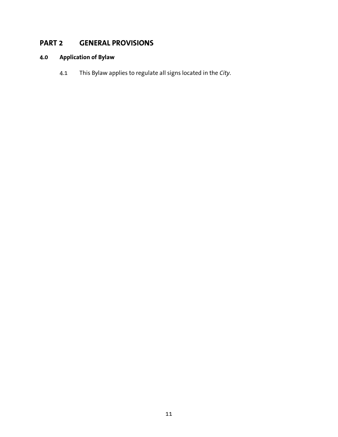# **PART 2 GENERAL PROVISIONS**

# **4.0 Application of Bylaw**

4.1 This Bylaw applies to regulate all signs located in the *City*.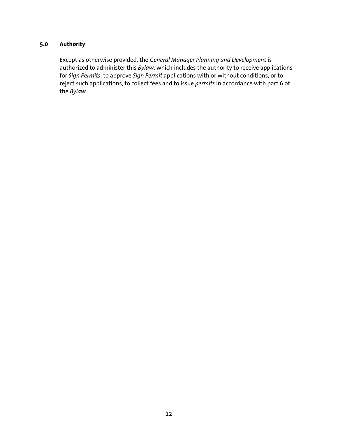## **5.0 Authority**

Except as otherwise provided, the *General Manager Planning and Development* is authorized to administer this *Bylaw*, which includes the authority to receive applications for *Sign Permits*, to approve *Sign Permit* applications with or without conditions, or to reject such applications, to collect fees and to issue *permits* in accordance with part 6 of the *Bylaw.*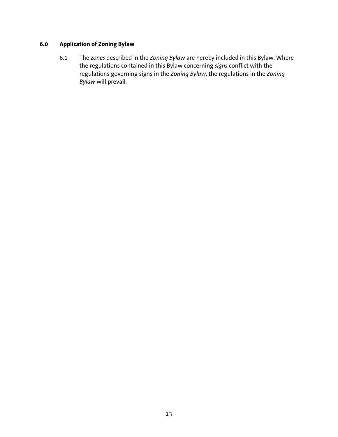## **6.0 Application of Zoning Bylaw**

6.1 The *zones* described in the *Zoning Bylaw* are hereby included in this Bylaw. Where the regulations contained in this Bylaw concerning *signs* conflict with the regulations governing signs in the *Zoning Bylaw*, the regulations in the *Zoning Bylaw* will prevail.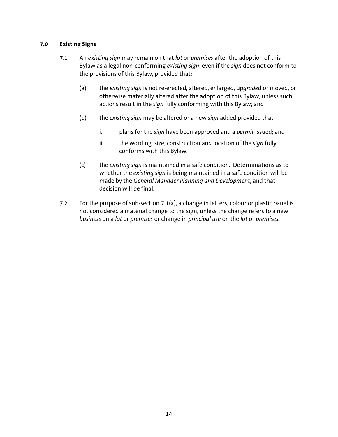#### **7.0 Existing Signs**

- 7.1 An *existing sign* may remain on that *lot* or *premises* after the adoption of this Bylaw as a legal non-conforming *existing sign*, even if the *sign* does not conform to the provisions of this Bylaw, provided that:
	- (a) the *existing sign* is not re-erected, altered, enlarged, up*grade*d or moved, or otherwise materially altered after the adoption of this Bylaw, unless such actions result in the *sign* fully conforming with this Bylaw; and
	- (b) the *existing sign* may be altered or a new *sign* added provided that:
		- i. plans for the *sign* have been approved and a *permit* issued; and
		- ii. the wording, size, construction and location of the *sign* fully conforms with this Bylaw.
	- (c) the *existing sign* is maintained in a safe condition. Determinations as to whether the *existing sign* is being maintained in a safe condition will be made by the *General Manager Planning and Development*, and that decision will be final.
- 7.2 For the purpose of sub-section 7.1(a), a change in letters, colour or plastic panel is not considered a material change to the sign, unless the change refers to a new *business* on a *lot* or *premises* or change in *principal use* on the *lot* or *premises.*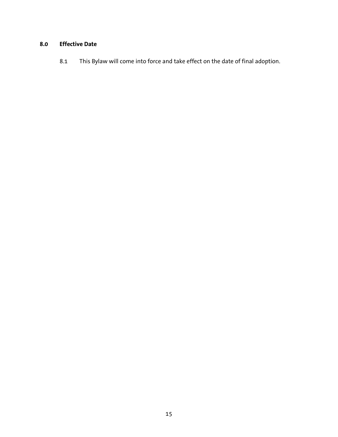## **8.0 Effective Date**

8.1 This Bylaw will come into force and take effect on the date of final adoption.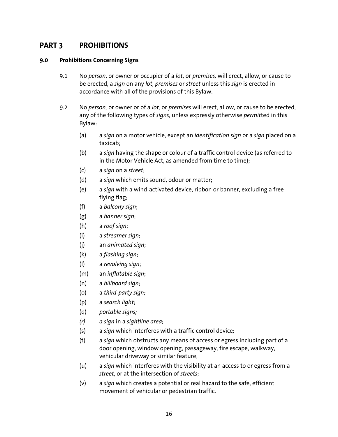## **PART 3 PROHIBITIONS**

#### **9.0 Prohibitions Concerning Signs**

- 9.1 No *person*, or owner or occupier of a *lot*, or *premises,* will erect, allow, or cause to be erected, a *sign* on any *lot*, *premises* or *street* unless this *sign* is erected in accordance with all of the provisions of this Bylaw.
- 9.2 No *person,* or owner or of a *lot,* or *premises* will erect, allow, or cause to be erected, any of the following types of *signs,* unless expressly otherwise *permit*ted in this Bylaw:
	- (a) a *sign* on a motor vehicle, except an *identification sign* or a *sign* placed on a taxicab;
	- (b) a *sign* having the shape or colour of a traffic control device (as referred to in the Motor Vehicle Act, as amended from time to time);
	- (c) a *sign* on a *street*;
	- (d) a *sign* which emits sound, odour or matter;
	- (e) a *sign* with a wind-activated device, ribbon or banner, excluding a freeflying flag;
	- (f) a *balcony sign*;
	- (g) a *banner sign*;
	- (h) a *roof sign*;
	- (i) a *streamer sign*;
	- (j) an *animated sign*;
	- (k) a *flashing sign*;
	- (l) a *revolving sign*;
	- (m) an *inflatable sign*;
	- (n) a *billboard sign*;
	- (o) a *third-party sign;*
	- (p) a *search light*;
	- (q) *portable signs;*
	- *(r) a sign* in a *sightline area;*
	- (s) a *sign* which interferes with a traffic control device*;*
	- (t) a *sign* which obstructs any means of access or egress including part of a door opening, window opening, passageway, fire escape, walkway, vehicular driveway or similar feature;
	- (u) a *sign* which interferes with the visibility at an access to or egress from a *street*, or at the intersection of *streets*;
	- (v) a *sign* which creates a potential or real hazard to the safe, efficient movement of vehicular or pedestrian traffic.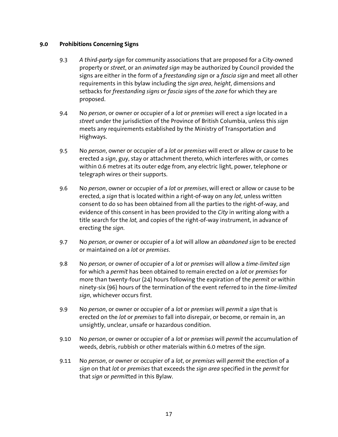#### **9.0 Prohibitions Concerning Signs**

- 9.3 *A third-party sign* for community associations that are proposed for a City-owned property or *street*, or an *animated sign* may be authorized by Council provided the signs are either in the form of a *freestanding sign* or a *fascia sign* and meet all other requirements in this bylaw including the *sign area*, *height*, dimensions and setbacks for *freestanding signs* or *fascia signs* of the *zone* for which they are proposed.
- 9.4 No *person*, or owner or occupier of a *lot* or *premises* will erect a *sign* located in a *street* under the jurisdiction of the Province of British Columbia, unless this *sign*  meets any requirements established by the Ministry of Transportation and Highways.
- 9.5 No *person*, owner or occupier of a *lot* or *premises* will erect or allow or cause to be erected a *sign*, guy, stay or attachment thereto, which interferes with, or comes within 0.6 metres at its outer edge from, any electric light, power, telephone or telegraph wires or their supports.
- 9.6 No *person*, owner or occupier of a *lot* or *premises*, will erect or allow or cause to be erected, a *sign* that is located within a right-of-way on any *lot*, unless written consent to do so has been obtained from all the parties to the right-of-way, and evidence of this consent in has been provided to the *City* in writing along with a title search for the *lot,* and copies of the right-of-way instrument, in advance of erecting the *sign*.
- 9.7 No *person, or* owner or occupier of a *lot* will allow an *abandoned sign* to be erected or maintained on a *lot* or *premises*.
- 9.8 No *person,* or owner of occupier of a *lot* or *premises* will allow a *time-limited sign*  for which a *permit* has been obtained to remain erected on a *lot* or *premises* for more than twenty-four (24) hours following the expiration of the *permit* or within ninety-six (96) hours of the termination of the event referred to in the *time-limited sign*, whichever occurs first.
- 9.9 No *person*, or owner or occupier of a *lot* or *premises* will *permit* a *sign* that is erected on the *lot* or *premises* to fall into disrepair, or become, or remain in, an unsightly, unclear, unsafe or hazardous condition.
- 9.10 No *person*, or owner or occupier of a *lot* or *premises* will *permit* the accumulation of weeds, debris, rubbish or other materials within 6.0 metres of the *sign*.
- 9.11 No *person*, or owner or occupier of a *lot*, or *premises* will *permit* the erection of a *sign* on that *lot* or *premises* that exceeds the *sign area* specified in the *permit* for that *sign* or *permit*ted in this Bylaw.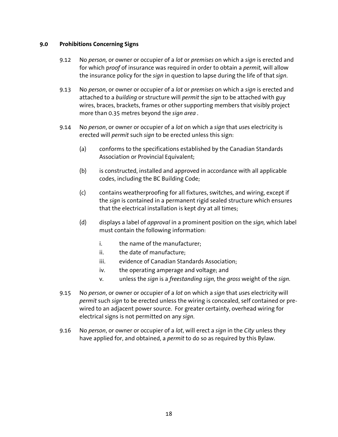#### **9.0 Prohibitions Concerning Signs**

- 9.12 No *person,* or owner or occupier of a *lot* or *premises* on which a *sign* is erected and for which p*roof* of insurance was required in order to obtain a *permit,* will allow the insurance policy for the *sign* in question to lapse during the life of that *sign*.
- 9.13 No *person*, or owner or occupier of a *lot* or *premises* on which a *sign* is erected and attached to a *building* or structure will *permit* the *sign* to be attached with guy wires, braces, brackets, frames or other supporting members that visibly project more than 0.35 metres beyond the *sign area .*
- 9.14 No *person*, or owner or occupier of a *lot* on which a *sign* that *use*s electricity is erected will *permit* such *sign* to be erected unless this sign:
	- (a) conforms to the specifications established by the Canadian Standards Association or Provincial Equivalent;
	- (b) is constructed, installed and approved in accordance with all applicable codes, including the BC Building Code;
	- (c) contains weatherproofing for all fixtures, switches, and wiring, except if the *sign* is contained in a permanent rigid sealed structure which ensures that the electrical installation is kept dry at all times;
	- (d) displays a label of *approval* in a prominent position on the *sign,* which label must contain the following information:
		- i. the name of the manufacturer;
		- ii. the date of manufacture:
		- iii. evidence of Canadian Standards Association;
		- iv. the operating amperage and voltage; and
		- v. unless the *sign* is a *freestanding sign,* the *gross* weight of the *sign.*
- 9.15 No *person*, or owner or occupier of a *lot* on which a *sign* that *use*s electricity will *permit* such *sign* to be erected unless the wiring is concealed, self contained or prewired to an adjacent power source. For greater certainty, overhead wiring for electrical signs is not permitted on any *sign*.
- 9.16 No *person*, or owner or occupier of a *lot*, will erect a *sign* in the *City* unless they have applied for, and obtained, a *permit* to do so as required by this Bylaw.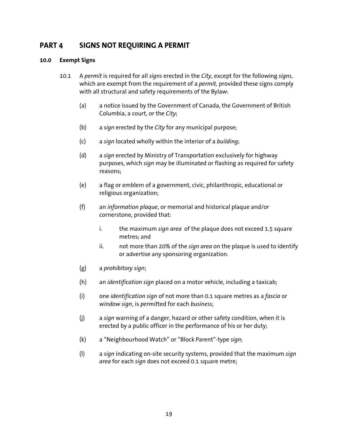## **PART 4 SIGNS NOT REQUIRING A PERMIT**

- 10.1 A *permit* is required for all *signs* erected in the *City*, except for the following *signs*, which are exempt from the requirement of a *permit,* provided these signs comply with all structural and safety requirements of the Bylaw:
	- (a) a notice issued by the Government of Canada, the Government of British Columbia, a court, or the *City*;
	- (b) a *sign* erected by the *City* for any municipal purpose;
	- (c) a *sign* located wholly within the interior of a *building*;
	- (d) a *sign* erected by Ministry of Transportation exclusively for highway purposes, which *sign* may be illuminated or flashing as required for safety reasons;
	- (e) a flag or emblem of a government, civic, philanthropic, educational or religious organization;
	- (f) an *information plaque*, or memorial and historical plaque and/or cornerstone, provided that:
		- i. the maximum *sign area* of the plaque does not exceed 1.5 square metres; and
		- ii. not more than 20% of the *sign area* on the plaque is used to identify or advertise any sponsoring organization.
	- (g) a *prohibitory sign*;
	- (h) an *identification sign* placed on a motor vehicle, including a taxicab;
	- (i) one *identification sign* of not more than 0.1 square metres as a *fascia* or *window sign*, is *permit*ted for each *business*;
	- (j) a *sign* warning of a danger, hazard or other safety condition, when it is erected by a public officer in the performance of his or her duty;
	- (k) a "Neighbourhood Watch" or "Block Parent"-type *sign*;
	- (l) a *sign* indicating on-site security systems, provided that the maximum *sign area* for each *sign* does not exceed 0.1 square metre;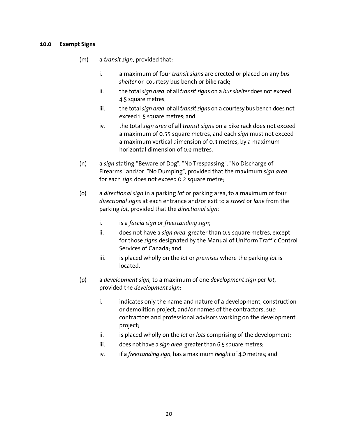- (m) a *transit sign*, provided that:
	- i. a maximum of four *transit sign*s are erected or placed on any *bus shelter* or courtesy bus bench or bike rack;
	- ii. the total *sign area* of all *transit sign*s on a *bus shelter* does not exceed 4.5 square metres;
	- iii. the total *sign area* of all *transit sign*s on a courtesy bus bench does not exceed 1.5 square metres; and
	- iv. the total *sign area* of all *transit sign*s on a bike rack does not exceed a maximum of 0.55 square metres, and each *sign* must not exceed a maximum vertical dimension of 0.3 metres, by a maximum horizontal dimension of 0.9 metres.
- (n) a *sign* stating "Beware of Dog", "No Trespassing", "No Discharge of Firearms" and/or "No Dumping", provided that the maximum *sign area*  for each *sign* does not exceed 0.2 square metre;
- (o) a *directional sign* in a parking *lot* or parking area, to a maximum of four *directional signs* at each entrance and/or exit to a *street* or *lane* from the parking *lot,* provided that the *directional sign*:
	- i. is a *fascia sign* or *freestanding sign*;
	- ii. does not have a *sign area* greater than 0.5 square metres, except for those *sign*s designated by the Manual of Uniform Traffic Control Services of Canada; and
	- iii. is placed wholly on the *lot* or *premises* where the parking *lot* is located.
- (p) a *development sign,* to a maximum of one *development sign* per *lot*, provided the *development sign*:
	- i. indicates only the name and nature of a development, construction or demolition project, and/or names of the contractors, subcontractors and professional advisors working on the development project;
	- ii. is placed wholly on the *lot* or *lots* comprising of the development;
	- iii. does not have a *sign area* greater than 6.5 square metres;
	- iv. if a *freestanding sign*, has a maximum *height* of 4.0 metres; and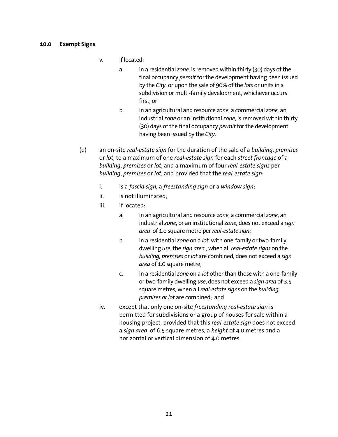- v. if located:
	- a. in a residential *zone,* is removed within thirty (30) days of the final occupancy *permit* for the development having been issued by the *City*, or upon the sale of 90% of the *lots* or units in a subdivision or multi-family development, whichever occurs first; or
	- b. in an agricultural and resource *zone*, a commercial *zone,* an industrial *zone* or an institutional *zone*, is removed within thirty (30) days of the final occupancy *permit* for the development having been issued by the *City*.
- (q) an on-site *real-estate sign* for the duration of the sale of a *building*, *premises* or *lot*, to a maximum of one *real-estate sign* for each *street frontage* of a *building*, *premises* or *lot*, and a maximum of four *real-estate signs* per *building*, *premises* or *lot*, and provided that the *real-estate sign*:
	- i. is a *fascia sign,* a *freestanding sign* or a *window sign*;
	- ii. is not illuminated;
	- iii. if located:
		- a. in an agricultural and resource *zone*, a commercial *zone*, an industrial *zone*, or an institutional *zone*, does not exceed a *sign area* of 1.o square metre per *real-estate sign*;
		- b. in a residential *zone* on a *lot* with one-family or two-family dwelling *use*, the *sign area* , when all *real-estate signs* on the *building, premises* or *lot* are combined, does not exceed a *sign area* of 1.0 square metre;
		- c. in a residential *zone* on a *lot* other than those with a one-family or two-family dwelling *use*, does not exceed a *sign area* of 3.5 square metres*,* when all *real-estate signs* on the *building, premises or lot* are combined; and
	- iv. except that only one on-site *freestanding real-estate sign* is permitted for subdivisions or a group of houses for sale within a housing project, provided that this *real-estate sign* does not exceed a *sign area* of 6.5 square metres, a *height* of 4.0 metres and a horizontal or vertical dimension of 4.0 metres.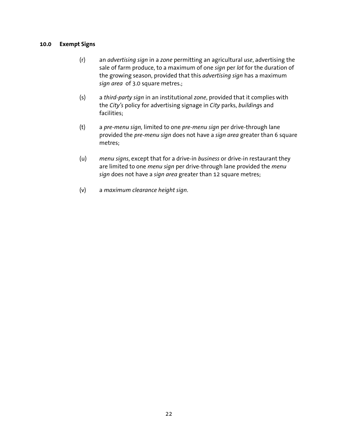- (r) an *advertising sign* in a *zone* permitting an agricultural *use*, advertising the sale of farm produce, to a maximum of one *sign* per *lot* for the duration of the growing season, provided that this *advertising sign* has a maximum *sign area* of 3.0 square metres.;
- (s) a *third-party sign* in an institutional *zone*, provided that it complies with the *City's* policy for advertising signage in *City* parks, *building*s and facilities;
- (t) a *pre-menu sign,* limited to one *pre-menu sign* per drive-through lane provided the *pre-menu sign* does not have a *sign area* greater than 6 square metres;
- (u) *menu signs*, except that for a drive-in *business* or drive-in restaurant they are limited to one *menu sign* per drive-through lane provided the *menu sign* does not have a *sign area* greater than 12 square metres;
- (v) a *maximum clearance height sign*.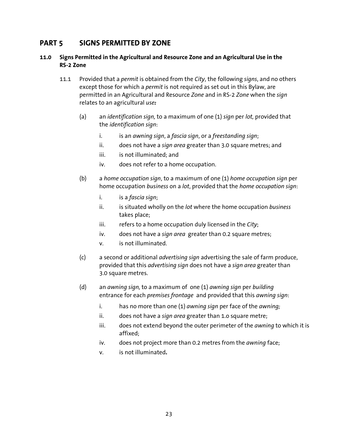# **PART 5 SIGNS PERMITTED BY ZONE**

#### **11.0 Signs Permitted in the Agricultural and Resource Zone and an Agricultural Use in the RS-2 Zone**

- 11.1 Provided that a *permit* is obtained from the *City*, the following *signs*, and no others except those for which a *permit* is not required as set out in this Bylaw, are permitted in an Agricultural and Resource *Zone* and in RS-2 *Zone* when the *sign*  relates to an agricultural *use:* 
	- (a) an *identification sign,* to a maximum of one (1) *sign* per *lot,* provided that the *identification sign*:
		- i. is an *awning sign*, a *fascia sign*, or a *freestanding sign*;
		- ii. does not have a *sign area* greater than 3.0 square metres; and
		- iii. is not illuminated; and
		- iv. does not refer to a home occupation.
	- (b) a *home occupation sign*, to a maximum of one (1) *home occupation sign* per home occupation *business* on a *lot*, provided that the *home occupation sign*:
		- i. is a *fascia sign*;
		- ii. is situated wholly on the *lot* where the home occupation *business* takes place;
		- iii. refers to a home occupation duly licensed in the *City*;
		- iv. does not have a *sign area* greater than 0.2 square metres;
		- v. is not illuminated.
	- (c) a second or additional *advertising sign* advertising the sale of farm produce, provided that this *advertising sign* does not have a *sign area* greater than 3.0 square metres.
	- (d) an *awning sign,* to a maximum of one (1) *awning sign* per *building*  entrance for each *premises frontage* and provided that this *awning sign*:
		- i. has no more than one (1) *awning sign* per face of the *awning;*
		- ii. does not have a *sign area* greater than 1.o square metre;
		- iii. does not extend beyond the outer perimeter of the *awning* to which it is affixed;
		- iv. does not project more than 0.2 metres from the *awning* face;
		- v. is not illuminated**.**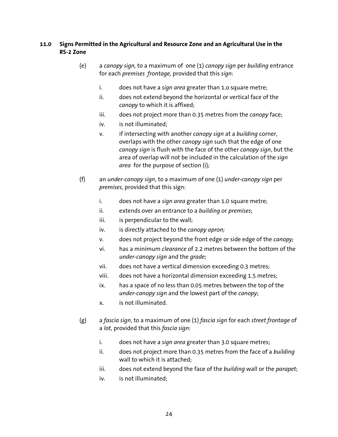### **11.0 Signs Permitted in the Agricultural and Resource Zone and an Agricultural Use in the RS-2 Zone**

- (e) a *canopy sign,* to a maximum of one (1) *canopy sign* per *building* entrance for each *premises frontage,* provided that this *sign*:
	- i. does not have a *sign area* greater than 1.o square metre;
	- ii. does not extend beyond the horizontal or vertical face of the *canopy* to which it is affixed;
	- iii. does not project more than 0.35 metres from the *canopy* face;
	- iv. is not illuminated;
	- v. if intersecting with another *canopy sign* at a *building* corner, overlaps with the other *canopy sign* such that the edge of one *canopy sign* is flush with the face of the other *canopy sign*, but the area of overlap will not be included in the calculation of the *sign area* for the purpose of section (i)*;*
- (f) an *under-canopy sign*, to a maximum of one (1) *under-canopy sign* per *premises*, provided that this sign:
	- i. does not have a *sign area* greater than 1.0 square metre;
	- ii. extends over an entrance to a *building* or *premises*;
	- iii. is perpendicular to the wall;
	- iv. is directly attached to the *canopy apron;*
	- v. does not project beyond the front edge or side edge of the *canopy;*
	- vi. has a minimum *clearance* of 2.2 metres between the bottom of the *under-canopy sign* and the *grade*;
	- vii. does not have a vertical dimension exceeding 0.3 metres;
	- viii. does not have a horizontal dimension exceeding 1.5 metres;
	- ix. has a space of no less than 0.05 metres between the top of the *under-canopy sign* and the lowest part of the *canopy*;
	- x. is not illuminated.
- (g) a *fascia sign*, to a maximum of one (1) *fascia sign* for each *street frontage* of a *lot*, provided that this *fascia sign*:
	- i. does not have a *sign area* greater than 3.0 square metres;
	- ii. does not project more than 0.35 metres from the face of a *building* wall to which it is attached;
	- iii. does not extend beyond the face of the *building* wall or the *parapet*;
	- iv. is not illuminated;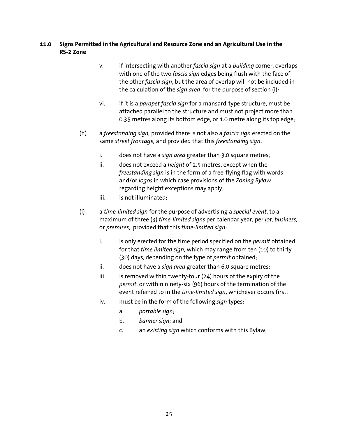#### **11.0 Signs Permitted in the Agricultural and Resource Zone and an Agricultural Use in the RS-2 Zone**

- v. if intersecting with another *fascia sign* at a *building* corner, overlaps with one of the two *fascia sign* edges being flush with the face of the other *fascia sign*, but the area of overlap will not be included in the calculation of the *sign area* for the purpose of section (i)*;*
- vi. if it is a *parapet fascia sign* for a mansard-type structure, must be attached parallel to the structure and must not project more than 0.35 metres along its bottom edge, or 1.0 metre along its top edge;
- (h) a *freestanding sign,* provided there is not also a *fascia sign* erected on the same *street frontage,* and provided that this *freestanding sign*:
	- i. does not have a *sign area* greater than 3.0 square metres;
	- ii. does not exceed a *height* of 2.5 metres, except when the *freestanding sign* is in the form of a free-flying flag with words and/or *logos* in which case provisions of the *Zoning Bylaw* regarding height exceptions may apply;
	- iii. is not illuminated;
- (i) a *time-limited sign* for the purpose of advertising a *special event*, to a maximum of three (3) *time-limited signs* per calendar year, per *lot, business,*  or *premises*, provided that this *time-limited sign:* 
	- i. is only erected for the time period specified on the *permit* obtained for that *time limited sign,* which may range from ten (10) to thirty (30) days, depending on the type of *permit* obtained;
	- ii. does not have a *sign area* greater than 6.0 square metres;
	- iii. is removed within twenty-four  $(24)$  hours of the expiry of the *permit*, or within ninety-six (96) hours of the termination of the event referred to in the *time-limited sign*, whichever occurs first;
	- iv. must be in the form of the following *sign* types:
		- a. *portable sign*;
		- b. *banner sign*; and
		- c. an *existing sign* which conforms with this Bylaw.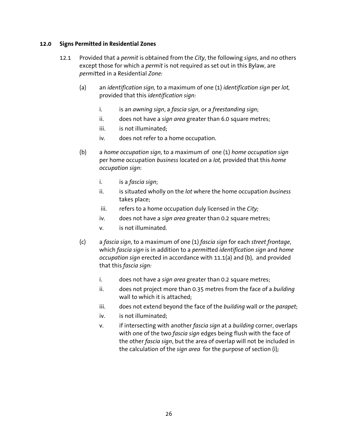#### **12.0 Signs Permitted in Residential Zones**

- 12.1 Provided that a *permit* is obtained from the *City*, the following *signs*, and no others except those for which a *permit* is not required as set out in this Bylaw, are *permit*ted in a Residential *Zone:* 
	- (a) an *identification sign,* to a maximum of one (1) *identification sign* per *lot,*  provided that this *identification sign:*
		- i. is an *awning sign*, a *fascia sign*, or a *freestanding sign*;
		- ii. does not have a *sign area* greater than 6.0 square metres;
		- iii. is not illuminated;
		- iv. does not refer to a home occupation.
	- (b) a *home occupation sign,* to a maximum of one (1) *home occupation sign*  per home occupation *business* located on a *lot,* provided that this *home occupation sign*:
		- i. is a *fascia sign*;
		- ii. is situated wholly on the *lot* where the home occupation *business* takes place;
		- iii. refers to a home occupation duly licensed in the *City*;
		- iv. does not have a *sign area* greater than 0.2 square metres;
		- v. is not illuminated.
	- (c) a *fascia sign*, to a maximum of one (1) *fascia sign* for each *street frontage*, which *fascia sign* is in addition to a *permit*ted *identification sign* and *home occupation sign* erected in accordance with 11.1(a) and (b), and provided that this *fascia sign:* 
		- i. does not have a *sign area* greater than 0.2 square metres;
		- ii. does not project more than 0.35 metres from the face of a *building* wall to which it is attached;
		- iii. does not extend beyond the face of the *building* wall or the *parapet*;
		- iv. is not illuminated;
		- v. if intersecting with another *fascia sign* at a *building* corner, overlaps with one of the two *fascia sign* edges being flush with the face of the other *fascia sign*, but the area of overlap will not be included in the calculation of the *sign area* for the purpose of section (i)*;*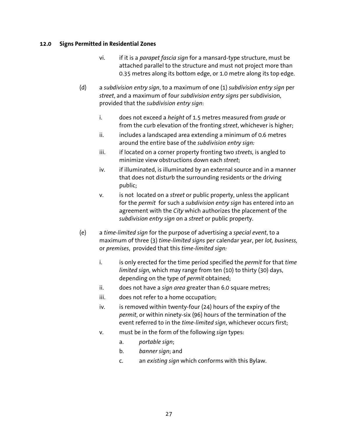#### **12.0 Signs Permitted in Residential Zones**

- vi. if it is a *parapet fascia sign* for a mansard-type structure, must be attached parallel to the structure and must not project more than 0.35 metres along its bottom edge, or 1.0 metre along its top edge.
- (d) a *subdivision entry sign*, to a maximum of one (1) *subdivision entry sign* per *street*, and a maximum of four *subdivision entry signs* per subdivision, provided that the *subdivision entry sign*:
	- i. does not exceed a *height* of 1.5 metres measured from *grade* or from the curb elevation of the fronting *street*, whichever is higher;
	- $ii.$  includes a landscaped area extending a minimum of 0.6 metres around the entire base of the *subdivision entry sign:*
	- iii. if located on a corner property fronting two *streets*, is angled to minimize view obstructions down each *street*;
	- iv. if illuminated, is illuminated by an external source and in a manner that does not disturb the surrounding residents or the driving public;
	- v. is not located on a *street* or public property, unless the applicant for the *permit* for such a *subdivision entry sign* has entered into an agreement with the *City* which authorizes the placement of the *subdivision entry sign* on a *street* or public property.
- (e) a *time-limited sign* for the purpose of advertising a *special event*, to a maximum of three (3) *time-limited signs* per calendar year, per *lot, business,*  or *premises*, provided that this *time-limited sign:* 
	- i. is only erected for the time period specified the *permit* for that *time limited sign,* which may range from ten (10) to thirty (30) days, depending on the type of *permit* obtained;
	- ii. does not have a *sign area* greater than 6.0 square metres;
	- iii. does not refer to a home occupation;
	- iv. is removed within twenty-four (24) hours of the expiry of the *permit*, or within ninety-six (96) hours of the termination of the event referred to in the *time-limited sign*, whichever occurs first;
	- v. must be in the form of the following *sign* types:
		- a. *portable sign*;
		- b. *banner sign*; and
		- c. an *existing sign* which conforms with this Bylaw.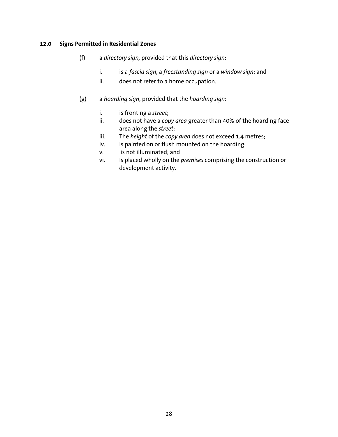#### **12.0 Signs Permitted in Residential Zones**

- (f) a *directory sign,* provided that this *directory sign*:
	- i. is a *fascia sign*, a *freestanding sign* or a *window sign*; and
	- ii. does not refer to a home occupation.
- (g) a *hoarding sign*, provided that the *hoarding sign*:
	- i. is fronting a *street*;
	- ii. does not have a *copy area* greater than 40% of the hoarding face area along the *street*;
	- iii. The *height* of the *copy area* does not exceed 1.4 metres;
	- iv. Is painted on or flush mounted on the hoarding;
	- v. is not illuminated; and
	- vi. Is placed wholly on the *premises* comprising the construction or development activity.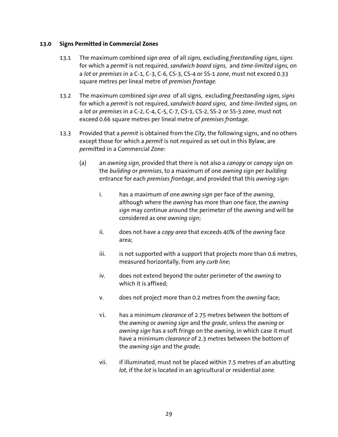- 13.1 The maximum combined *sign area* of all *signs,* excluding *freestanding signs, signs*  for which a *permit* is not required, *sandwich board signs,* and *time-limited signs,* on a *lot* or *premises* in a C-1, C-3, C-6, CS-3, CS-4 or SS-1 *zone*, must not exceed 0.33 square metres per lineal metre of *premises frontage.*
- 13.2 The maximum combined *sign area* of all signs, excluding *freestanding signs, signs*  for which a *permit* is not required, *sandwich board signs,* and *time-limited signs,* on a *lot* or *premises* in a C-2, C-4, C-5, C-7, CS-1, CS-2, SS-2 or SS-3 *zone*, must not exceed 0.66 square metres per lineal metre of *premises frontage.*
- 13.3 Provided that a *permit* is obtained from the *City*, the following signs, and no others except those for which a *permit* is not required as set out in this Bylaw, are *permit*ted in a Commercial *Zone*:
	- (a) an *awning sign*, provided that there is not also a *canopy* or *canopy sign* on the *building* or *premises*, to a maximum of one *awning sign* per *building* entrance for each *premises frontage*, and provided that this *awning sign*:
		- i. has a maximum of one *awning sign* per face of the *awning*, although where the *awning* has more than one face, the *awning sign* may continue around the perimeter of the *awning* and will be considered as one *awning sign*;
		- ii. does not have a *copy area* that exceeds 40% of the *awning* face area;
		- iii. is not supported with a support that projects more than 0.6 metres, measured horizontally, from any *curb line*;
		- iv. does not extend beyond the outer perimeter of the *awning* to which it is affixed;
		- v. does not project more than 0.2 metres from the *awning* face;
		- vi. has a minimum *clearance* of 2.75 metres between the bottom of the *awning* or *awning sign* and the *grade*, unless the *awning* or *awning sign* has a soft fringe on the *awning*, in which case it must have a minimum *clearance* of 2.3 metres between the bottom of the *awning sign* and the *grade*;
		- vii. if illuminated, must not be placed within 7.5 metres of an abutting *lot*, if the *lot* is located in an agricultural or residential *zone*.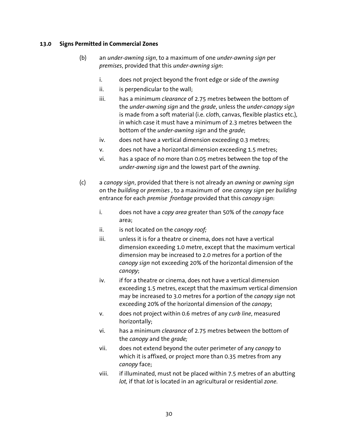- (b) an *under-awning sign*, to a maximum of one *under-awning sign* per *premises*, provided that this *under-awning sign*:
	- i. does not project beyond the front edge or side of the *awning*
	- ii. is perpendicular to the wall;
	- iii. has a minimum *clearance* of 2.75 metres between the bottom of the *under-awning sign* and the *grade*, unless the *under-canopy sign*  is made from a soft material (i.e. c*lot*h, canvas, flexible plastics etc.), in which case it must have a minimum of 2.3 metres between the bottom of the *under-awning sign* and the *grade*;
	- iv. does not have a vertical dimension exceeding 0.3 metres;
	- v. does not have a horizontal dimension exceeding 1.5 metres;
	- vi. has a space of no more than 0.05 metres between the top of the *under-awning sign* and the lowest part of the *awning*.
- (c) a *canopy sign*, provided that there is not already an *awning* or *awning sign*  on the *building* or *premises* , to a maximum of one *canopy sign* per *building*  entrance for each *premise frontage* provided that this *canopy sign*:
	- i. does not have a *copy area* greater than 50% of the *canopy* face area;
	- ii. is not located on the *canopy roof;*
	- iii. unless it is for a theatre or cinema, does not have a vertical dimension exceeding 1.0 metre, except that the maximum vertical dimension may be increased to 2.0 metres for a portion of the *canopy sign* not exceeding 20% of the horizontal dimension of the *canopy*;
	- iv. if for a theatre or cinema, does not have a vertical dimension exceeding 1.5 metres, except that the maximum vertical dimension may be increased to 3.0 metres for a portion of the *canopy sign* not exceeding 20% of the horizontal dimension of the *canopy*;
	- v. does not project within 0.6 metres of any *curb line*, measured horizontally;
	- vi. has a minimum *clearance* of 2.75 metres between the bottom of the *canopy* and the *grade;*
	- vii. does not extend beyond the outer perimeter of any *canopy* to which it is affixed, or project more than 0.35 metres from any *canopy* face;
	- viii. if illuminated, must not be placed within 7.5 metres of an abutting *lot,* if that *lot* is located in an agricultural or residential *zone*.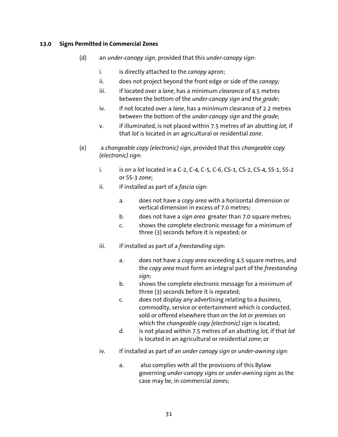- (d) an *under-canopy sign*, provided that this *under-canopy sign*:
	- i. is directly attached to the *canopy* apron;
	- ii. does not project beyond the front edge or side of the *canopy;*
	- iii. if located over a *lane*, has a minimum *clearance* of 4.5 metres between the bottom of the *under-canopy sign* and the *grade*;
	- iv. if not located over a *lane*, has a minimum clearance of 2.2 metres between the bottom of the *under-canopy sign* and the *grade*;
	- v. if illuminated, is not placed within 7.5 metres of an abutting *lot,* if that *lot* is located in an agricultural or residential *zone*.
- (e) a *changeable copy (electronic) sign,* provided that this *changeable copy (electronic) sign*:
	- i. is on a *lot* located in a C-2, C-4, C-5, C-6, CS-1, CS-2, CS-4, SS-1, SS-2 or SS-3 *zone*;
	- ii. if installed as part of a *fascia sign*:
		- a. does not have a *copy area* with a horizontal dimension or vertical dimension in excess of 7.0 metres;
		- b. does not have a *sign area* greater than 7.0 square metres;
		- c. shows the complete electronic message for a minimum of three (3) seconds before it is repeated; or
	- iii. if installed as part of a *freestanding sign*:
		- a. does not have a *copy area* exceeding 4.5 square metres, and the *copy area* must form an integral part of the *freestanding sign*;
		- b. shows the complete electronic message for a minimum of three (3) seconds before it is repeated;
		- c. does not display any advertising relating to a *business,*  commodity, service or entertainment which is conducted, sold or offered elsewhere than on the *lot* or *premises* on which the *changeable copy (electronic) sign* is located;
		- d. is not placed within 7.5 metres of an abutting *lot,* if that *lot* is located in an agricultural or residential *zone*; or
	- iv. if installed as part of an *under canopy sign* or *under-awning sign*:
		- a. also complies with all the provisions of this Bylaw governing *under-canopy signs* or *under-awning signs* as the case may be, in commercial *zone*s;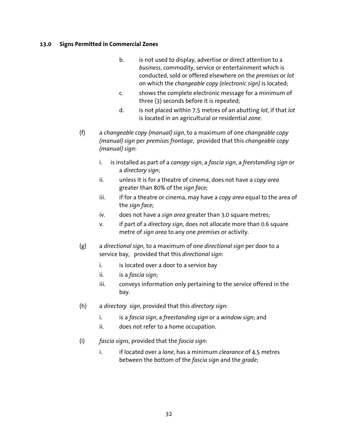- b. is not used to display, advertise or direct attention to a *business*, commodity, service or entertainment which is conducted, sold or offered elsewhere on the *premises* or *lot* on which the *changeable copy (electronic sign)* is located;
- c. shows the complete electronic message for a minimum of three (3) seconds before it is repeated;
- d. is not placed within 7.5 metres of an abutting *lot*, if that *lot* is located in an agricultural or residential *zone*.
- (f) a *changeable copy (manual) sign*, to a maximum of one *changeable copy (manual) sign* per *premises frontage*, provided that this *changeable copy (manual) sign*:
	- i. is installed as part of a *canopy sign*, a *fascia sign*, a *freestanding sign* or a *directory sign*;
	- ii. unless it is for a theatre of cinema, does not have a *copy area* greater than 80% of the *sign face;*
	- iii. if for a theatre or cinema, may have a *copy area* equal to the area of the *sign face;*
	- iv. does not have a *sign area* greater than 3.0 square metres;
	- v. if part of a *directory sign,* does not allocate more than 0.6 square metre of *sign area* to any one *premises* or activity.
- (g) a *directional sign,* to a maximum of one *directional sign* per door to a service bay, provided that this *directional sign*:
	- i. is located over a door to a service bay
	- ii. is a *fascia sign*;
	- iii. conveys information only pertaining to the service offered in the bay.
- (h) a *directory sign*, provided that this *directory sign*:
	- i. is a *fascia sign*, a *freestanding sign* or a *window sign*; and
	- ii. does not refer to a home occupation.
- (i) *fascia signs*, provided that the *fascia sign*:
	- i. if located over a *lane*, has a minimum *clearance* of 4.5 metres between the bottom of the *fascia sign* and the *grade*;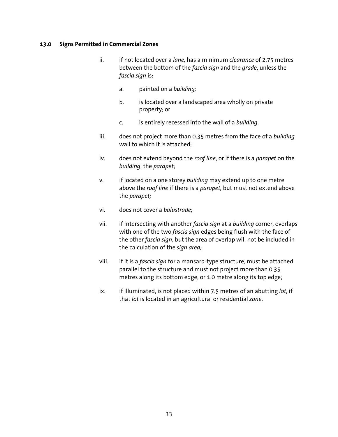- ii. if not located over a *lane,* has a minimum *clearance* of 2.75 metres between the bottom of the *fascia sign* and the *grade*, unless the *fascia sign* is:
	- a. painted on a *building;*
	- b. is located over a landscaped area wholly on private property; or
	- c. is entirely recessed into the wall of a *building*.
- iii. does not project more than 0.35 metres from the face of a *building* wall to which it is attached;
- iv. does not extend beyond the *roof line*, or if there is a *parapet* on the *building*, the *parapet*;
- v. if located on a one storey *building* may extend up to one metre above the *roof line* if there is a *parapet,* but must not extend above the *parapet;*
- vi. does not cover a *balustrade;*
- vii. if intersecting with another *fascia sign* at a *building* corner, overlaps with one of the two *fascia sign* edges being flush with the face of the other *fascia sign*, but the area of overlap will not be included in the calculation of the *sign area;*
- viii. if it is a *fascia sign* for a mansard-type structure, must be attached parallel to the structure and must not project more than 0.35 metres along its bottom edge, or 1.0 metre along its top edge;
- ix. if illuminated, is not placed within 7.5 metres of an abutting *lot,* if that *lot* is located in an agricultural or residential *zone*.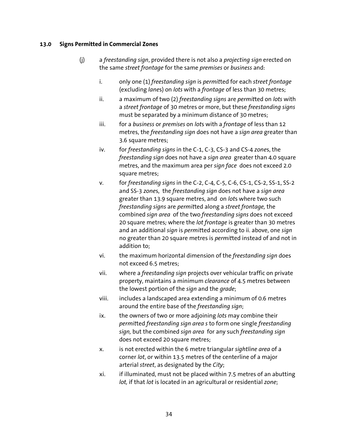- (j) a *freestanding sign*, provided there is not also a *projecting sign* erected on the same *street frontage* for the same *premises* or *business* and:
	- i. only one (1) *freestanding sign* is *permit*ted for each *street frontage*  (excluding *lane*s) on *lots* with a *frontage* of less than 30 metres;
	- ii. a maximum of two (2) *freestanding signs* are *permit*ted on *lots* with a *street frontage* of 30 metres or more, but these *freestanding signs*  must be separated by a minimum distance of 30 metres;
	- iii. for a *business* or *premises* on *lot*s with a *frontage* of less than 12 metres, the *freestanding sign* does not have a *sign area* greater than 3.6 square metres;
	- iv. for *freestanding signs* in the C-1, C-3, CS-3 and CS-4 *zone*s, the *freestanding sign* does not have a *sign area* greater than 4.0 square metres, and the maximum area per *sign face* does not exceed 2.0 square metres;
	- v. for *freestanding signs* in the C-2, C-4, C-5, C-6, CS-1, CS-2, SS-1, SS-2 and SS-3 *zone*s, the *freestanding sign* does not have a *sign area*  greater than 13.9 square metres, and on *lot*s where two such *freestanding signs* are *permit*ted along a *street frontage,* the combined *sign area* of the two *freestanding signs* does not exceed 20 square metres*;* where the *lot frontage* is greater than 30 metres and an additional *sign* is *permit*ted according to ii. above, one *sign*  no greater than 20 square metres is *permit*ted instead of and not in addition to;
	- vi. the maximum horizontal dimension of the *freestanding sign* does not exceed 6.5 metres;
	- vii. where a *freestanding sign* projects over vehicular traffic on private property, maintains a minimum *clearance* of 4.5 metres between the lowest portion of the *sign* and the *grade*;
	- viii. includes a landscaped area extending a minimum of 0.6 metres around the entire base of the *freestanding sign*;
	- ix. the owners of two or more adjoining *lots* may combine their *permit*ted *freestanding sign area s* to form one single *freestanding sign,* but the combined *sign area* for any such *freestanding sign*  does not exceed 20 square metres;
	- x. is not erected within the 6 metre triangular *sightline area* of a corner *lot*, or within 13.5 metres of the centerline of a major arterial *street*, as designated by the *City*;
	- xi. if illuminated, must not be placed within 7.5 metres of an abutting *lot,* if that *lot* is located in an agricultural or residential *zone*;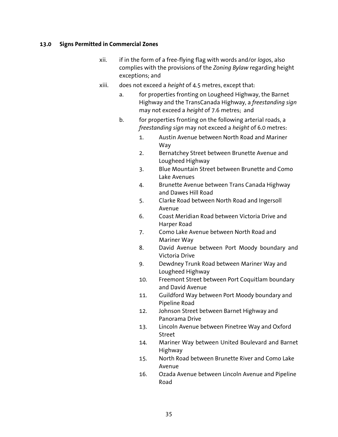- xii. if in the form of a free-flying flag with words and/or *logo*s, also complies with the provisions of the *Zoning Bylaw* regarding height exceptions; and
- xiii. does not exceed a *height* of 4.5 metres, except that:
	- a. for properties fronting on Lougheed Highway, the Barnet Highway and the TransCanada Highway, a *freestanding sign*  may not exceed a *height* of 7.6 metres; and
	- b. for properties fronting on the following arterial roads, a *freestanding sign* may not exceed a *height* of 6.0 metres:
		- 1. Austin Avenue between North Road and Mariner Way
		- 2. Bernatchey Street between Brunette Avenue and Lougheed Highway
		- 3. Blue Mountain Street between Brunette and Como Lake Avenues
		- 4. Brunette Avenue between Trans Canada Highway and Dawes Hill Road
		- 5. Clarke Road between North Road and Ingersoll Avenue
		- 6. Coast Meridian Road between Victoria Drive and Harper Road
		- 7. Como Lake Avenue between North Road and Mariner Way
		- 8. David Avenue between Port Moody boundary and Victoria Drive
		- 9. Dewdney Trunk Road between Mariner Way and Lougheed Highway
		- 10. Freemont Street between Port Coquitlam boundary and David Avenue
		- 11. Guildford Way between Port Moody boundary and Pipeline Road
		- 12. Johnson Street between Barnet Highway and Panorama Drive
		- 13. Lincoln Avenue between Pinetree Way and Oxford Street
		- 14. Mariner Way between United Boulevard and Barnet Highway
		- 15. North Road between Brunette River and Como Lake Avenue
		- 16. Ozada Avenue between Lincoln Avenue and Pipeline Road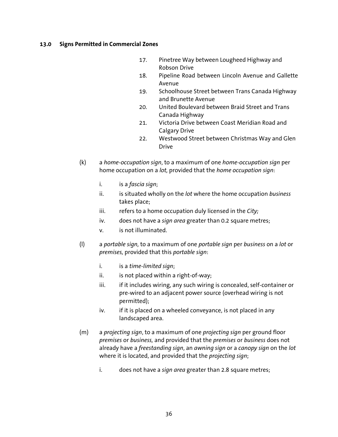- 17. Pinetree Way between Lougheed Highway and Robson Drive
- 18. Pipeline Road between Lincoln Avenue and Gallette Avenue
- 19. Schoolhouse Street between Trans Canada Highway and Brunette Avenue
- 20. United Boulevard between Braid Street and Trans Canada Highway
- 21. Victoria Drive between Coast Meridian Road and Calgary Drive
- 22. Westwood Street between Christmas Way and Glen Drive
- (k) a *home-occupation sign*, to a maximum of one *home-occupation sign* per home occupation on a *lot,* provided that the *home occupation sign*:
	- i. is a *fascia sign*;
	- ii. is situated wholly on the *lot* where the home occupation *business* takes place;
	- iii. refers to a home occupation duly licensed in the *City;*
	- iv. does not have a *sign area* greater than 0.2 square metres;
	- v. is not illuminated.
- (l) a *portable sign,* to a maximum of one *portable sign* per *business* on a *lot* or *premises,* provided that this *portable sign*:
	- i. is a *time-limited sign*;
	- ii. is not placed within a right-of-way;
	- iii. if it includes wiring, any such wiring is concealed, self-container or pre-wired to an adjacent power source (overhead wiring is not permitted);
	- iv. if it is placed on a wheeled conveyance, is not placed in any landscaped area.
- (m) a *projecting sign*, to a maximum of one *projecting sign* per ground floor *premises* or *business,* and provided that the *premises* or *business* does not already have a *freestanding sign*, an *awning sign* or a *canopy sign* on the *lot* where it is located, and provided that the *projecting sign*;
	- i. does not have a *sign area* greater than 2.8 square metres;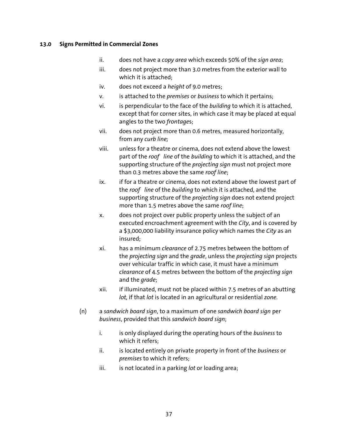- ii. does not have a *copy area* which exceeds 50% of the *sign area*;
- iii. does not project more than 3.0 metres from the exterior wall to which it is attached;
- iv. does not exceed a *height* of 9.0 metres;
- v. is attached to the *premises* or *business* to which it pertains;
- vi. is perpendicular to the face of the *building* to which it is attached, except that for corner sites, in which case it may be placed at equal angles to the two *frontage*s;
- vii. does not project more than 0.6 metres, measured horizontally, from any *curb line;*
- viii. unless for a theatre or cinema, does not extend above the lowest part of the *roof line* of the *building* to which it is attached, and the supporting structure of the *projecting sign* must not project more than 0.3 metres above the same *roof line*;
- ix. if for a theatre or cinema, does not extend above the lowest part of the *roof line* of the *building* to which it is attached, and the supporting structure of the *projecting sign* does not extend project more than 1.5 metres above the same *roof line*;
- x. does not project over public property unless the subject of an executed encroachment agreement with the *City*, and is covered by a \$3,000,000 liability insurance policy which names the *City* as an insured;
- xi. has a minimum *clearance* of 2.75 metres between the bottom of the *projecting sign* and the *grade*, unless the *projecting sign* projects over vehicular traffic in which case, it must have a minimum *clearance* of 4.5 metres between the bottom of the *projecting sign*  and the *grade*;
- xii. if illuminated, must not be placed within 7.5 metres of an abutting *lot,* if that *lot* is located in an agricultural or residential *zone*.
- (n) a *sandwich board sign*, to a maximum of one *sandwich board sign* per *business*, provided that this *sandwich board sign*;
	- i. is only displayed during the operating hours of the *business* to which it refers;
	- ii. is located entirely on private property in front of the *business* or *premises* to which it refers;
	- iii. is not located in a parking *lot* or loading area;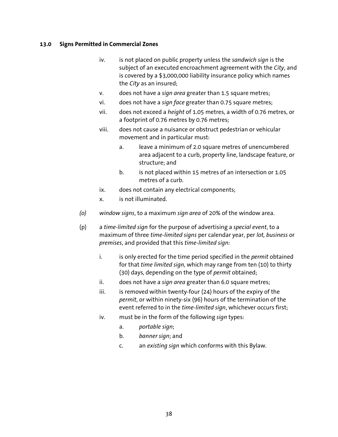- iv. is not placed on public property unless the *sandwich sign* is the subject of an executed encroachment agreement with the *City*, and is covered by a \$3,000,000 liability insurance policy which names the *City* as an insured;
- v. does not have a *sign area* greater than 1.5 square metres;
- vi. does not have a *sign face* greater than 0.75 square metres;
- vii. does not exceed a *height* of 1.05 metres, a width of 0.76 metres, or a footprint of 0.76 metres by 0.76 metres;
- viii. does not cause a nuisance or obstruct pedestrian or vehicular movement and in particular must:
	- a. leave a minimum of 2.0 square metres of unencumbered area adjacent to a curb, property line, landscape feature, or structure; and
	- b. is not placed within 15 metres of an intersection or 1.05 metres of a curb.
- ix. does not contain any electrical components;
- x. is not illuminated.
- *(o) window signs*, to a maximum *sign area* of 20% of the window area.
- (p) a *time-limited sign* for the purpose of advertising a *special event*, to a maximum of three *time-limited signs* per calendar year, per *lot, business* or *premises*, and provided that this *time-limited sign:* 
	- i. is only erected for the time period specified in the *permit* obtained for that *time limited sign,* which may range from ten (10) to thirty (30) days, depending on the type of *permit* obtained;
	- ii. does not have a *sign area* greater than 6.0 square metres;
	- iii. is removed within twenty-four  $(24)$  hours of the expiry of the *permit*, or within ninety-six (96) hours of the termination of the event referred to in the *time-limited sign*, whichever occurs first;
	- iv. must be in the form of the following *sign* types:
		- a. *portable sign*;
		- b. *banner sign*; and
		- c. an *existing sign* which conforms with this Bylaw.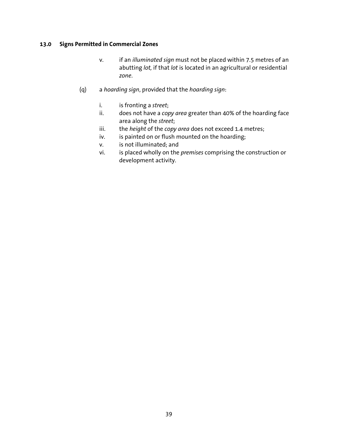- v. if an *illuminated sign* must not be placed within 7.5 metres of an abutting *lot,* if that *lot* is located in an agricultural or residential *zone*.
- (q) a *hoarding sign*, provided that the *hoarding sign*:
	- i. is fronting a *street*;
	- ii. does not have a *copy area* greater than 40% of the hoarding face area along the *street*;
	- iii. the *height* of the *copy area* does not exceed 1.4 metres;
	- iv. is painted on or flush mounted on the hoarding;
	- v. is not illuminated; and
	- vi. is placed wholly on the *premises* comprising the construction or development activity.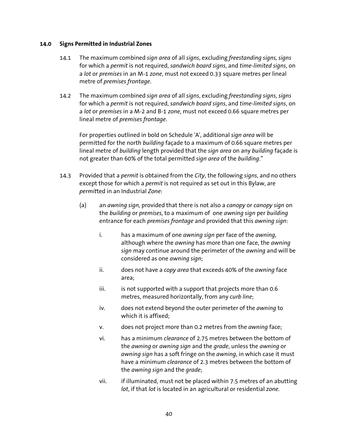- 14.1 The maximum combined *sign area* of all *signs*, excluding *freestanding signs, signs* for which a *permit* is not required, *sandwich board signs*, and *time-limited signs*, on a *lot* or *premises* in an M-1 *zone*, must not exceed 0.33 square metres per lineal metre of *premises frontage*.
- 14.2 The maximum combined *sign area* of all *signs*, excluding *freestanding signs*, *signs* for which a *permit* is not required, *sandwich board signs*, and *time-limited signs*, on a *lot* or *premises* in a M-2 and B-1 *zone*, must not exceed 0.66 square metres per lineal metre of *premises frontage*.

For properties outlined in bold on Schedule 'A', additional *sign area* will be permitted for the north *building* façade to a maximum of 0.66 square metres per lineal metre of *building* length provided that the *sign area* on any *building* façade is not greater than 60% of the total permitted *sign area* of the *building*."

- 14.3 Provided that a *permit* is obtained from the *City*, the following *signs*, and no others except those for which a *permit* is not required as set out in this Bylaw, are *permit*ted in an Industrial *Zone*:
	- (a) an *awning sign,* provided that there is not also a *canopy* or *canopy sign* on the *building* or *premises,* to a maximum of one *awning sign* per *building*  entrance for each *premises frontage* and provided that this *awning sign*:
		- i. has a maximum of one *awning sign* per face of the *awning*, although where the *awning* has more than one face, the *awning sign* may continue around the perimeter of the *awning* and will be considered as one *awning sign*;
		- ii. does not have a *copy area* that exceeds 40% of the *awning* face area;
		- $iii.$  is not supported with a support that projects more than 0.6 metres, measured horizontally, from any *curb line*;
		- iv. does not extend beyond the outer perimeter of the *awning* to which it is affixed;
		- v. does not project more than 0.2 metres from the *awning* face;
		- vi. has a minimum *clearance* of 2.75 metres between the bottom of the *awning* or *awning sign* and the *grade*, unless the *awning* or *awning sign* has a soft fringe on the *awning*, in which case it must have a minimum *clearance* of 2.3 metres between the bottom of the *awning sign* and the *grade*;
		- vii. if illuminated, must not be placed within 7.5 metres of an abutting *lot*, if that *lot* is located in an agricultural or residential *zone*.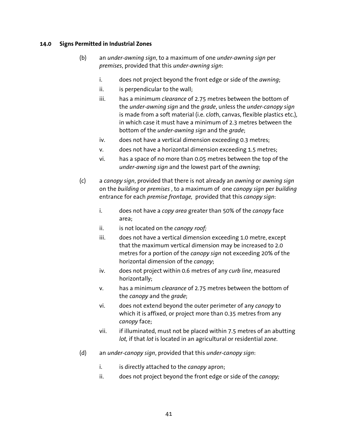- (b) an *under-awning sign*, to a maximum of one *under-awning sign* per *premises*, provided that this *under-awning sign*:
	- i. does not project beyond the front edge or side of the *awning*;
	- ii. is perpendicular to the wall;
	- iii. has a minimum *clearance* of 2.75 metres between the bottom of the *under-awning sign* and the *grade*, unless the *under-canopy sign*  is made from a soft material (i.e. c*lot*h, canvas, flexible plastics etc.), in which case it must have a minimum of 2.3 metres between the bottom of the *under-awning sign* and the *grade*;
	- iv. does not have a vertical dimension exceeding 0.3 metres;
	- v. does not have a horizontal dimension exceeding 1.5 metres;
	- vi. has a space of no more than 0.05 metres between the top of the *under-awning sign* and the lowest part of the *awning*;
- (c) a *canopy sign*, provided that there is not already an *awning* or *awning sign*  on the *building* or *premises* , to a maximum of one *canopy sign* per *building*  entrance for each *premise frontage,* provided that this *canopy sign*:
	- i. does not have a *copy area* greater than 50% of the *canopy* face area;
	- ii. is not located on the *canopy roof*;
	- iii. does not have a vertical dimension exceeding 1.0 metre, except that the maximum vertical dimension may be increased to 2.0 metres for a portion of the *canopy sign* not exceeding 20% of the horizontal dimension of the *canopy*;
	- iv. does not project within 0.6 metres of any *curb line*, measured horizontally;
	- v. has a minimum *clearance* of 2.75 metres between the bottom of the *canopy* and the *grade*;
	- vi. does not extend beyond the outer perimeter of any *canopy* to which it is affixed, or project more than 0.35 metres from any *canopy* face;
	- vii. if illuminated, must not be placed within 7.5 metres of an abutting *lot,* if that *lot* is located in an agricultural or residential *zone*.
- (d) an *under-canopy sign*, provided that this *under-canopy sign*:
	- i. is directly attached to the *canopy* apron;
	- ii. does not project beyond the front edge or side of the *canopy;*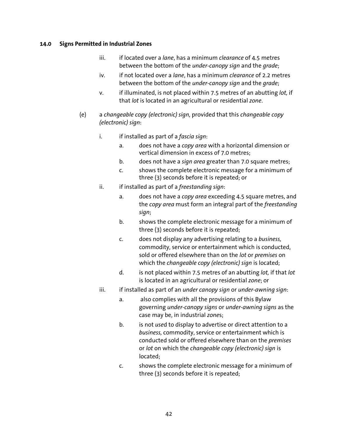- iii. if located over a *lane*, has a minimum *clearance* of 4.5 metres between the bottom of the *under-canopy sign* and the *grade*;
- iv. if not located over a *lane*, has a minimum *clearance* of 2.2 metres between the bottom of the *under-canopy sign* and the *grade*;
- v. if illuminated, is not placed within 7.5 metres of an abutting *lot,* if that *lot* is located in an agricultural or residential *zone*.
- (e) a *changeable copy (electronic) sign,* provided that this *changeable copy (electronic) sign*:
	- i. if installed as part of a *fascia sign*:
		- a. does not have a *copy area* with a horizontal dimension or vertical dimension in excess of 7.0 metres;
		- b. does not have a *sign area* greater than 7.0 square metres;
		- c. shows the complete electronic message for a minimum of three (3) seconds before it is repeated; or
	- ii. if installed as part of a *freestanding sign*:
		- a. does not have a *copy area* exceeding 4.5 square metres, and the *copy area* must form an integral part of the *freestanding sign*;
		- b. shows the complete electronic message for a minimum of three (3) seconds before it is repeated;
		- c. does not display any advertising relating to a *business,*  commodity, service or entertainment which is conducted, sold or offered elsewhere than on the *lot* or *premises* on which the *changeable copy (electronic) sign* is located;
		- d. is not placed within 7.5 metres of an abutting *lot,* if that *lot* is located in an agricultural or residential *zone*; or
	- iii. if installed as part of an *under canopy sign* or *under-awning sign*:
		- a. also complies with all the provisions of this Bylaw governing *under-canopy signs* or *under-awning signs* as the case may be, in industrial *zone*s;
		- b. is not *use*d to display to advertise or direct attention to a *business,* commodity, service or entertainment which is conducted sold or offered elsewhere than on the *premises*  or *lot* on which the *changeable copy (electronic) sign* is located;
		- c. shows the complete electronic message for a minimum of three (3) seconds before it is repeated;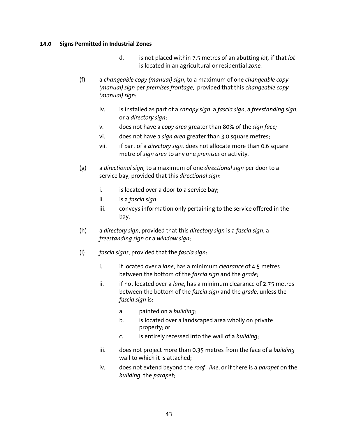- d. is not placed within 7.5 metres of an abutting *lot,* if that *lot* is located in an agricultural or residential *zone.*
- (f) a *changeable copy (manual) sign*, to a maximum of one *changeable copy (manual) sign* per *premises frontage*, provided that this *changeable copy (manual) sign*:
	- iv. is installed as part of a *canopy sign*, a *fascia sign*, a *freestanding sign*, or a *directory sign*;
	- v. does not have a *copy area* greater than 80% of the *sign face;*
	- vi. does not have a *sign area* greater than 3.0 square metres;
	- vii. if part of a *directory sign,* does not allocate more than 0.6 square metre of *sign area* to any one *premises* or activity.
- (g) a *directional sign,* to a maximum of one *directional sign* per door to a service bay, provided that this *directional sign*:
	- i. is located over a door to a service bay;
	- ii. is a *fascia sign*;
	- iii. conveys information only pertaining to the service offered in the bay.
- (h) a *directory sign*, provided that this *directory sign* is a *fascia sign*, a *freestanding sign* or a *window sign*;
- (i) *fascia signs*, provided that the *fascia sign*:
	- i. if located over a *lane*, has a minimum *clearance* of 4.5 metres between the bottom of the *fascia sign* and the *grade*;
	- ii. if not located over a *lane*, has a minimum clearance of 2.75 metres between the bottom of the *fascia sign* and the *grade*, unless the *fascia sign* is:
		- a. painted on a *building;*
		- b. is located over a landscaped area wholly on private property; or
		- c. is entirely recessed into the wall of a *building*;
	- iii. does not project more than 0.35 metres from the face of a *building* wall to which it is attached;
	- iv. does not extend beyond the *roof line*, or if there is a *parapet* on the *building*, the *parapet*;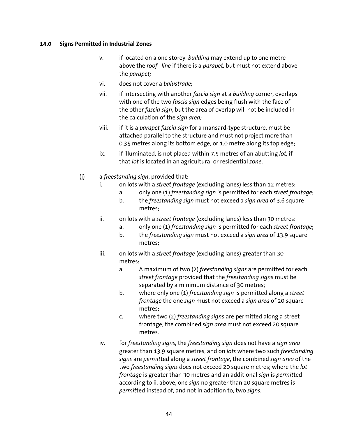- v. if located on a one storey *building* may extend up to one metre above the *roof line* if there is a *parapet,* but must not extend above the *parapet;*
- vi. does not cover a *balustrade;*
- vii. if intersecting with another *fascia sign* at a *building* corner, overlaps with one of the two *fascia sign* edges being flush with the face of the other *fascia sign*, but the area of overlap will not be included in the calculation of the *sign area;*
- viii. if it is a *parapet fascia sign* for a mansard-type structure, must be attached parallel to the structure and must not project more than 0.35 metres along its bottom edge, or 1.0 metre along its top edge;
- ix. if illuminated, is not placed within 7.5 metres of an abutting *lot,* if that *lot* is located in an agricultural or residential *zone*.
- (j) a *freestanding sign*, provided that:
	- i. on lots with a *street frontage* (excluding lanes) less than 12 metres:
		- a. only one (1) *freestanding sign* is permitted for each *street frontage*;
		- b. the *freestanding sign* must not exceed a *sign area* of 3.6 square metres;
	- ii. on lots with a *street frontage* (excluding lanes) less than 30 metres:
		- a. only one (1) *freestanding sign* is permitted for each *street frontage*;
		- b. the *freestanding sign* must not exceed a *sign area* of 13.9 square metres;
	- iii. on lots with a *street frontage* (excluding lanes) greater than 30 metres:
		- a. A maximum of two (2) *freestanding signs* are permitted for each *street frontage* provided that the *freestanding sign*s must be separated by a minimum distance of 30 metres;
		- b. where only one (1) *freestanding sign* is permitted along a *street frontage* the one *sign* must not exceed a *sign area* of 20 square metres;
		- c. where two (2) *freestanding sign*s are permitted along a street frontage, the combined *sign area* must not exceed 20 square metres.
	- iv. for *freestanding signs*, the *freestanding sign* does not have a *sign area* greater than 13.9 square metres, and on *lots* where two such *freestanding signs* are *permit*ted along a *street frontage*, the combined *sign area* of the two *freestanding signs* does not exceed 20 square metres; where the *lot frontage* is greater than 30 metres and an additional *sign* is *permit*ted according to ii. above, one *sign* no greater than 20 square metres is *permit*ted instead of, and not in addition to, two *signs*.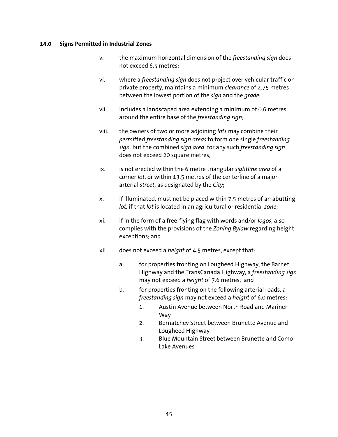- v. the maximum horizontal dimension of the *freestanding sign* does not exceed 6.5 metres;
- vi. where a *freestanding sign* does not project over vehicular traffic on private property, maintains a minimum *clearance* of 2.75 metres between the lowest portion of the *sign* and the *grade*;
- vii. includes a landscaped area extending a minimum of 0.6 metres around the entire base of the *freestanding sign*;
- viii. the owners of two or more adjoining *lots* may combine their *permit*ted *freestanding sign areas* to form one single *freestanding sign,* but the combined *sign area* for any such *freestanding sign*  does not exceed 20 square metres;
- ix. is not erected within the 6 metre triangular *sightline area* of a corner *lot*, or within 13.5 metres of the centerline of a major arterial *street*, as designated by the *City*;
- x. if illuminated, must not be placed within 7.5 metres of an abutting *lot,* if that *lot* is located in an agricultural or residential *zone*;
- xi. if in the form of a free-flying flag with words and/or *logos*, also complies with the provisions of the *Zoning Bylaw* regarding height exceptions; and
- xii. does not exceed a *height* of 4.5 metres, except that:
	- a. for properties fronting on Lougheed Highway, the Barnet Highway and the TransCanada Highway, a *freestanding sign*  may not exceed a *height* of 7.6 metres; and
	- b. for properties fronting on the following arterial roads, a *freestanding sign* may not exceed a *height* of 6.0 metres:
		- 1. Austin Avenue between North Road and Mariner Way
		- 2. Bernatchey Street between Brunette Avenue and Lougheed Highway
		- 3. Blue Mountain Street between Brunette and Como Lake Avenues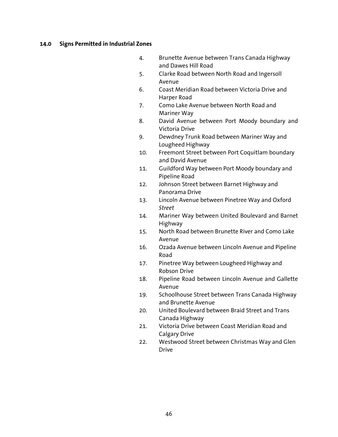- 4. Brunette Avenue between Trans Canada Highway and Dawes Hill Road
- 5. Clarke Road between North Road and Ingersoll Avenue
- 6. Coast Meridian Road between Victoria Drive and Harper Road
- 7. Como Lake Avenue between North Road and Mariner Way
- 8. David Avenue between Port Moody boundary and Victoria Drive
- 9. Dewdney Trunk Road between Mariner Way and Lougheed Highway
- 10. Freemont Street between Port Coquitlam boundary and David Avenue
- 11. Guildford Way between Port Moody boundary and Pipeline Road
- 12. Johnson Street between Barnet Highway and Panorama Drive
- 13. Lincoln Avenue between Pinetree Way and Oxford *Street*
- 14. Mariner Way between United Boulevard and Barnet Highway
- 15. North Road between Brunette River and Como Lake Avenue
- 16. Ozada Avenue between Lincoln Avenue and Pipeline Road
- 17. Pinetree Way between Lougheed Highway and Robson Drive
- 18. Pipeline Road between Lincoln Avenue and Gallette Avenue
- 19. Schoolhouse Street between Trans Canada Highway and Brunette Avenue
- 20. United Boulevard between Braid Street and Trans Canada Highway
- 21. Victoria Drive between Coast Meridian Road and Calgary Drive
- 22. Westwood Street between Christmas Way and Glen Drive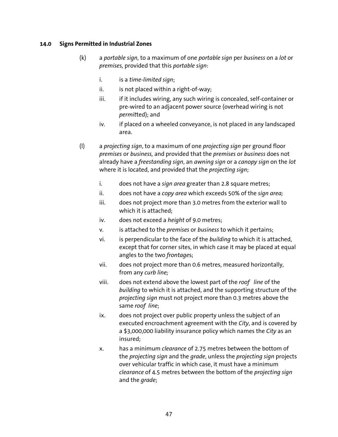- (k) a *portable sign,* to a maximum of one *portable sign* per *business* on a *lot* or *premises,* provided that this *portable sign*:
	- i. is a *time-limited sign*;
	- $ii.$  is not placed within a right-of-way;
	- iii. if it includes wiring, any such wiring is concealed, self-container or pre-wired to an adjacent power source (overhead wiring is not *permit*ted); and
	- iv. if placed on a wheeled conveyance, is not placed in any landscaped area.
- (l) a *projecting sign*, to a maximum of one *projecting sign* per ground floor *premises* or *business,* and provided that the *premises* or *business* does not already have a *freestanding sign*, an *awning sign* or a *canopy sign* on the *lot* where it is located, and provided that the *projecting sign*;
	- i. does not have a *sign area* greater than 2.8 square metres;
	- ii. does not have a *copy area* which exceeds 50% of the *sign area;*
	- iii. does not project more than 3.0 metres from the exterior wall to which it is attached;
	- iv. does not exceed a *height* of 9.0 metres;
	- v. is attached to the *premises* or *business* to which it pertains;
	- vi. is perpendicular to the face of the *building* to which it is attached, except that for corner sites, in which case it may be placed at equal angles to the two *frontage*s;
	- vii. does not project more than 0.6 metres, measured horizontally, from any *curb line;*
	- viii. does not extend above the lowest part of the *roof line* of the *building* to which it is attached, and the supporting structure of the *projecting sign* must not project more than 0.3 metres above the same *roof line*;
	- ix. does not project over public property unless the subject of an executed encroachment agreement with the *City*, and is covered by a \$3,000,000 liability insurance policy which names the *City* as an insured;
	- x. has a minimum *clearance* of 2.75 metres between the bottom of the *projecting sign* and the *grade*, unless the *projecting sign* projects over vehicular traffic in which case, it must have a minimum *clearance* of 4.5 metres between the bottom of the *projecting sign*  and the *grade*;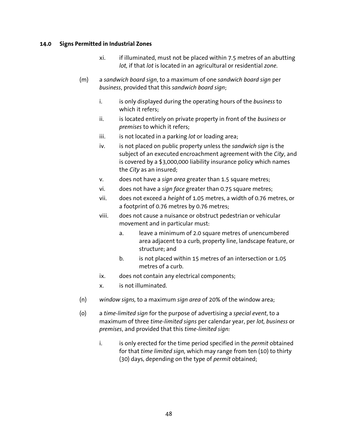- xi. if illuminated, must not be placed within 7.5 metres of an abutting *lot,* if that *lot* is located in an agricultural or residential *zone*.
- (m) a *sandwich board sign*, to a maximum of one *sandwich board sign* per *business*, provided that this *sandwich board sign*;
	- i. is only displayed during the operating hours of the *business* to which it refers;
	- ii. is located entirely on private property in front of the *business* or *premises* to which it refers;
	- iii. is not located in a parking *lot* or loading area;
	- iv. is not placed on public property unless the *sandwich sign* is the subject of an executed encroachment agreement with the *City*, and is covered by a \$3,000,000 liability insurance policy which names the *City* as an insured;
	- v. does not have a *sign area* greater than 1.5 square metres;
	- vi. does not have a *sign face* greater than 0.75 square metres;
	- vii. does not exceed a *height* of 1.05 metres, a width of 0.76 metres, or a footprint of 0.76 metres by 0.76 metres;
	- viii. does not cause a nuisance or obstruct pedestrian or vehicular movement and in particular must:
		- a. leave a minimum of 2.0 square metres of unencumbered area adjacent to a curb, property line, landscape feature, or structure; and
		- b. is not placed within 15 metres of an intersection or 1.05 metres of a curb.
	- ix. does not contain any electrical components;
	- x. is not illuminated.
- (n) *window signs,* to a maximum *sign area* of 20% of the window area;
- (o) a *time-limited sign* for the purpose of advertising a *special event*, to a maximum of three *time-limited signs* per calendar year, per *lot, business* or *premises*, and provided that this *time-limited sign:* 
	- i. is only erected for the time period specified in the *permit* obtained for that *time limited sign,* which may range from ten (10) to thirty (30) days, depending on the type of *permit* obtained;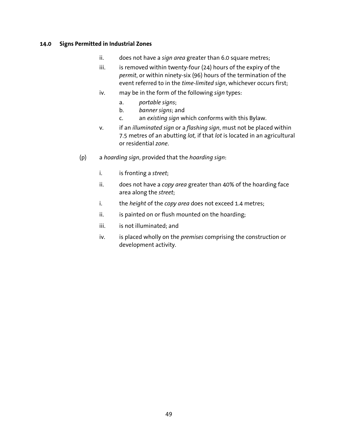- ii. does not have a *sign area* greater than 6.0 square metres;
- iii. is removed within twenty-four (24) hours of the expiry of the *permit*, or within ninety-six (96) hours of the termination of the event referred to in the *time-limited sign*, whichever occurs first;
- iv. may be in the form of the following *sign* types:
	- a. *portable signs*;
	- b. *banner signs*; and
	- c. an *existing sign* which conforms with this Bylaw.
- v. if an *illuminated sign* or a *flashing sign*, must not be placed within 7.5 metres of an abutting *lot,* if that *lot* is located in an agricultural or residential *zone*.
- (p) a *hoarding sign*, provided that the *hoarding sign*:
	- i. is fronting a *street*;
	- ii. does not have a *copy area* greater than 40% of the hoarding face area along the *street*;
	- i. the *height* of the *copy area* does not exceed 1.4 metres;
	- ii. is painted on or flush mounted on the hoarding;
	- iii. is not illuminated: and
	- iv. is placed wholly on the *premises* comprising the construction or development activity.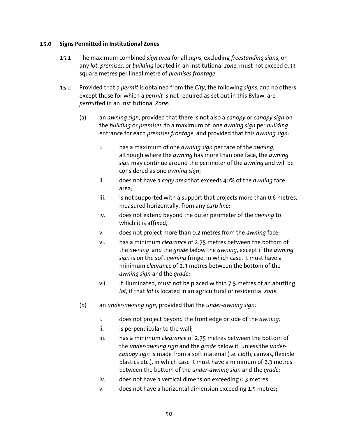- 15.1 The maximum combined *sign area* for all *signs*, excluding *freestanding sign*s, on any *lot*, *premises*, or *building* located in an institutional *zone*, must not exceed 0.33 square metres per lineal metre of *premises frontage*.
- 15.2 Provided that a *permit* is obtained from the *City*, the following *signs*, and no others except those for which a *permit* is not required as set out in this Bylaw, are *permit*ted in an Institutional *Zone*:
	- (a) an *awning sign,* provided that there is not also a *canopy* or *canopy sign* on the *building* or *premises,* to a maximum of one *awning sign* per *building*  entrance for each *premises frontage*, and provided that this *awning sign*:
		- i. has a maximum of one *awning sign* per face of the *awning*, although where the *awning* has more than one face, the *awning sign* may continue around the perimeter of the *awning* and will be considered as one *awning sign*;
		- ii. does not have a *copy area* that exceeds 40% of the *awning* face area;
		- $iii.$  is not supported with a support that projects more than 0.6 metres, measured horizontally, from any *curb line*;
		- iv. does not extend beyond the outer perimeter of the *awning* to which it is affixed;
		- v. does not project more than 0.2 metres from the *awning* face;
		- vi. has a minimum *clearance* of 2.75 metres between the bottom of the *awning* and the *grade* below the *awning*, except if the *awning sign* is on the soft *awning* fringe, in which case, it must have a minimum *clearance* of 2.3 metres between the bottom of the *awning sign* and the *grade*;
		- vii. if illuminated, must not be placed within 7.5 metres of an abutting *lot,* if that *lot* is located in an agricultural or residential *zone*.
	- (b) an *under-awning sign*, provided that the *under-awning sign*:
		- i. does not project beyond the front edge or side of the *awning;*
		- ii. is perpendicular to the wall;
		- iii. has a minimum *clearance* of 2.75 metres between the bottom of the *under-awning sign* and the *grade* below it, unless the *undercanopy sign* is made from a soft material (i.e. c*lot*h, canvas, flexible plastics etc.), in which case it must have a minimum of 2.3 metres between the bottom of the *under-awning sign* and the *grade*;
		- iv. does not have a vertical dimension exceeding 0.3 metres;
		- v. does not have a horizontal dimension exceeding 1.5 metres;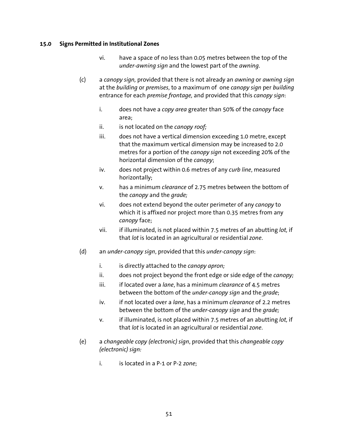- vi. have a space of no less than 0.05 metres between the top of the *under-awning sign* and the lowest part of the *awning*.
- (c) a *canopy sign,* provided that there is not already an *awning* or *awning sign*  at the *building* or *premises*, to a maximum of one *canopy sign* per *building*  entrance for each *premise frontage,* and provided that this *canopy sign*:
	- i. does not have a *copy area* greater than 50% of the *canopy* face area;
	- ii. is not located on the *canopy roof;*
	- iii. does not have a vertical dimension exceeding 1.0 metre, except that the maximum vertical dimension may be increased to 2.0 metres for a portion of the *canopy sign* not exceeding 20% of the horizontal dimension of the *canopy*;
	- iv. does not project within 0.6 metres of any *curb line*, measured horizontally;
	- v. has a minimum *clearance* of 2.75 metres between the bottom of the *canopy* and the *grade;*
	- vi. does not extend beyond the outer perimeter of any *canopy* to which it is affixed nor project more than 0.35 metres from any *canopy* face;
	- vii. if illuminated, is not placed within 7.5 metres of an abutting *lot,* if that *lot* is located in an agricultural or residential *zone*.
- (d) an *under-canopy sign*, provided that this *under-canopy sign*:
	- i. is directly attached to the *canopy apron;*
	- ii. does not project beyond the front edge or side edge of the *canopy;*
	- iii. if located over a *lane*, has a minimum *clearance* of 4.5 metres between the bottom of the *under-canopy sign* and the *grade*;
	- iv. if not located over a *lane*, has a minimum *clearance* of 2.2 metres between the bottom of the *under-canopy sign* and the *grade;*
	- v. if illuminated, is not placed within 7.5 metres of an abutting *lot,* if that *lot* is located in an agricultural or residential *zone*.
- (e) a *changeable copy (electronic) sign*, provided that this *changeable copy (electronic) sign:* 
	- i. is located in a P-1 or P-2 *zone*;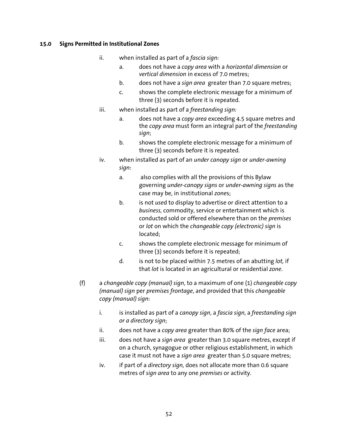- ii. when installed as part of a *fascia sign:*
	- a. does not have a *copy area* with a *horizontal dimension* or *vertical dimension* in excess of 7.0 metres;
	- b. does not have a *sign area* greater than 7.0 square metres;
	- c. shows the complete electronic message for a minimum of three (3) seconds before it is repeated.
- iii. when installed as part of a *freestanding sign:*
	- a. does not have a *copy area* exceeding 4.5 square metres and the *copy area* must form an integral part of the *freestanding sign*;
	- b. shows the complete electronic message for a minimum of three (3) seconds before it is repeated.
- iv. when installed as part of an *under canopy sign* or *under-awning sign*:
	- a. also complies with all the provisions of this Bylaw governing *under-canopy signs* or *under-awning signs* as the case may be, in institutional *zone*s;
	- b. is not *use*d to display to advertise or direct attention to a *business,* commodity, service or entertainment which is conducted sold or offered elsewhere than on the *premises*  or *lot* on which the *changeable copy (electronic) sign* is located;
	- c. shows the complete electronic message for minimum of three (3) seconds before it is repeated;
	- d. is not to be placed within 7.5 metres of an abutting *lot,* if that *lot* is located in an agricultural or residential *zone*.
- (f) a *changeable copy (manual) sign*, to a maximum of one (1) *changeable copy (manual) sign* per *premises frontage*, and provided that this *changeable copy (manual) sign*:
	- i. is installed as part of a *canopy sign*, a *fascia sign*, a *freestanding sign or a directory sign*;
	- ii. does not have a *copy area* greater than 80% of the *sign face* area;
	- iii. does not have a *sign area* greater than 3.0 square metres, except if on a church, synagogue or other religious establishment, in which case it must not have a *sign area* greater than 5.0 square metres;
	- iv. if part of a *directory sign,* does not allocate more than 0.6 square metres of *sign area* to any one *premises* or activity.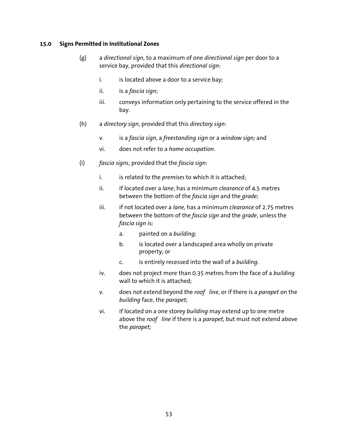- (g) a *directional sign,* to a maximum of one *directional sign* per door to a service bay, provided that this *directional sign*:
	- i. is located above a door to a service bay;
	- ii. is a *fascia sign*;
	- iii. conveys information only pertaining to the service offered in the bay.
- (h) a *directory sign*, provided that this *directory sign*:
	- v. is a *fascia sign,* a *freestanding sign* or a *window sign;* and
	- vi. does not refer to a *home occupation.*
- (i) *fascia signs*, provided that the *fascia sign*:
	- i. is related to the *premises* to which it is attached;
	- ii. if located over a *lane*, has a minimum *clearance* of 4.5 metres between the bottom of the *fascia sign* and the *grade*;
	- iii. if not located over a *lane,* has a minimum *clearance* of 2.75 metres between the bottom of the *fascia sign* and the *grade*, unless the *fascia sign* is:
		- a. painted on a *building;*
		- b. is located over a landscaped area wholly on private property; or
		- c. is entirely recessed into the wall of a *building*.
	- iv. does not project more than 0.35 metres from the face of a *building* wall to which it is attached;
	- v. does not extend beyond the *roof line*, or if there is a *parapet* on the *building* face, the *parapet*;
	- vi. if located on a one storey *building* may extend up to one metre above the *roof line* if there is a *parapet,* but must not extend above the *parapet;*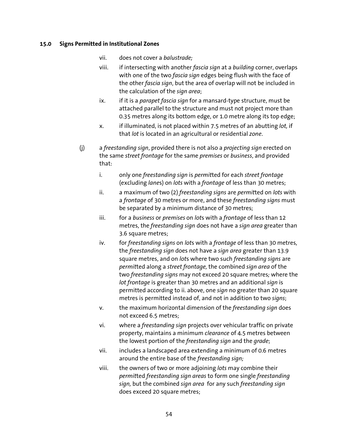- vii. does not cover a *balustrade;*
- viii. if intersecting with another *fascia sign* at a *building* corner, overlaps with one of the two *fascia sign* edges being flush with the face of the other *fascia sign*, but the area of overlap will not be included in the calculation of the *sign area*;
- ix. if it is a *parapet fascia sign* for a mansard-type structure, must be attached parallel to the structure and must not project more than 0.35 metres along its bottom edge, or 1.0 metre along its top edge;
- x. if illuminated, is not placed within 7.5 metres of an abutting *lot,* if that *lot* is located in an agricultural or residential *zone*.
- (j) a *freestanding sign*, provided there is not also a *projecting sign* erected on the same *street frontage* for the same *premises* or *business*, and provided that:
	- i. only one *freestanding sign* is *permit*ted for each *street frontage*  (excluding *lane*s) on *lots* with a *frontage* of less than 30 metres;
	- ii. a maximum of two (2) *freestanding signs* are *permit*ted on *lots* with a *frontage* of 30 metres or more, and these *freestanding signs* must be separated by a minimum distance of 30 metres;
	- iii. for a *business* or *premises* on *lot*s with a *frontage* of less than 12 metres, the *freestanding sign* does not have a *sign area* greater than 3.6 square metres;
	- iv. for *freestanding signs* on *lot*s with a *frontage* of less than 30 metres, the *freestanding sign* does not have a *sign area* greater than 13.9 square metres, and on *lot*s where two such *freestanding signs* are *permit*ted along a *street frontage,* the combined *sign area* of the two *freestanding signs* may not exceed 20 square metres*;* where the *lot frontage* is greater than 30 metres and an additional *sign* is permitted according to ii. above, one *sign* no greater than 20 square metres is permitted instead of, and not in addition to two *signs*;
	- v. the maximum horizontal dimension of the *freestanding sign* does not exceed 6.5 metres;
	- vi. where a *freestanding sign* projects over vehicular traffic on private property, maintains a minimum *clearance* of 4.5 metres between the lowest portion of the *freestanding sign* and the *grade*;
	- vii. includes a landscaped area extending a minimum of 0.6 metres around the entire base of the *freestanding sign;*
	- viii. the owners of two or more adjoining *lots* may combine their *permit*ted *freestanding sign areas* to form one single *freestanding sign,* but the combined *sign area* for any such *freestanding sign*  does exceed 20 square metres;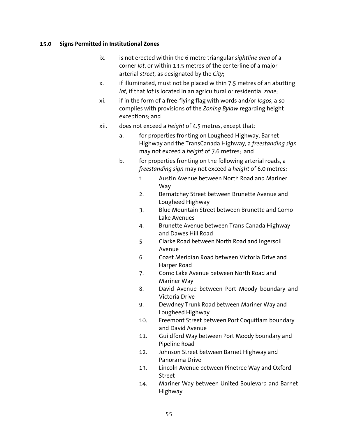- ix. is not erected within the 6 metre triangular *sightline area* of a corner *lot*, or within 13.5 metres of the centerline of a major arterial *street*, as designated by the *City*;
- x. if illuminated, must not be placed within 7.5 metres of an abutting *lot,* if that *lot* is located in an agricultural or residential *zone*;
- xi. if in the form of a free-flying flag with words and/or *logos*, also complies with provisions of the *Zoning Bylaw* regarding height exceptions; and
- xii. does not exceed a *height* of 4.5 metres, except that:
	- a. for properties fronting on Lougheed Highway, Barnet Highway and the TransCanada Highway, a *freestanding sign*  may not exceed a *height* of 7.6 metres; and
	- b. for properties fronting on the following arterial roads, a *freestanding sign* may not exceed a *height* of 6.0 metres:
		- 1. Austin Avenue between North Road and Mariner Way
		- 2. Bernatchey Street between Brunette Avenue and Lougheed Highway
		- 3. Blue Mountain Street between Brunette and Como Lake Avenues
		- 4. Brunette Avenue between Trans Canada Highway and Dawes Hill Road
		- 5. Clarke Road between North Road and Ingersoll Avenue
		- 6. Coast Meridian Road between Victoria Drive and Harper Road
		- 7. Como Lake Avenue between North Road and Mariner Way
		- 8. David Avenue between Port Moody boundary and Victoria Drive
		- 9. Dewdney Trunk Road between Mariner Way and Lougheed Highway
		- 10. Freemont Street between Port Coquitlam boundary and David Avenue
		- 11. Guildford Way between Port Moody boundary and Pipeline Road
		- 12. Johnson Street between Barnet Highway and Panorama Drive
		- 13. Lincoln Avenue between Pinetree Way and Oxford Street
		- 14. Mariner Way between United Boulevard and Barnet Highway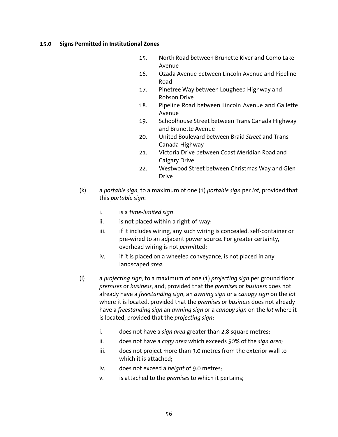- 15. North Road between Brunette River and Como Lake Avenue
- 16. Ozada Avenue between Lincoln Avenue and Pipeline Road
- 17. Pinetree Way between Lougheed Highway and Robson Drive
- 18. Pipeline Road between Lincoln Avenue and Gallette Avenue
- 19. Schoolhouse Street between Trans Canada Highway and Brunette Avenue
- 20. United Boulevard between Braid *Street* and Trans Canada Highway
- 21. Victoria Drive between Coast Meridian Road and Calgary Drive
- 22. Westwood Street between Christmas Way and Glen Drive
- (k) a *portable sign,* to a maximum of one (1) *portable sign* per *lot,* provided that this *portable sign*:
	- i. is a *time-limited sign*;
	- $ii.$  is not placed within a right-of-way;
	- iii. if it includes wiring, any such wiring is concealed, self-container or pre-wired to an adjacent power source. For greater certainty, overhead wiring is not *permit*ted;
	- iv. if it is placed on a wheeled conveyance, is not placed in any landscaped *area*.
- (l) a *projecting sign*, to a maximum of one (1) *projecting sign* per ground floor *premises* or *business*, and; provided that the *premises* or *business* does not already have a *freestanding sign*, an *awning sign* or a *canopy sign* on the *lot* where it is located, provided that the *premises* or *business* does not already have a *freestanding sign* an *awning sign* or a *canopy sign* on the *lot* where it is located, provided that the *projecting sign*:
	- i. does not have a *sign area* greater than 2.8 square metres;
	- ii. does not have a *copy area* which exceeds 50% of the *sign area;*
	- iii. does not project more than 3.0 metres from the exterior wall to which it is attached;
	- iv. does not exceed a *height* of 9.0 metres*;*
	- v. is attached to the *premises* to which it pertains;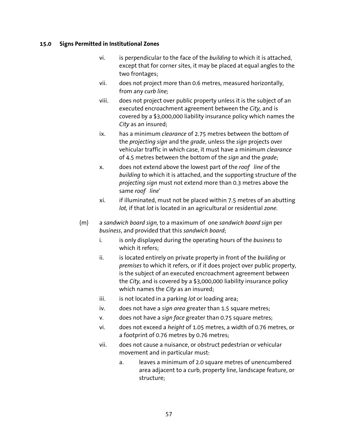- vi. is perpendicular to the face of the *building* to which it is attached, except that for corner sites, it may be placed at equal angles to the two frontages;
- vii. does not project more than 0.6 metres, measured horizontally, from any *curb line;*
- viii. does not project over public property unless it is the subject of an executed encroachment agreement between the *City,* and is covered by a \$3,000,000 liability insurance policy which names the *City* as an insured;
- ix. has a minimum *clearance* of 2.75 metres between the bottom of the *projecting sign* and the *grade*, unless the *sign* projects over vehicular traffic in which case, it must have a minimum *clearance* of 4.5 metres between the bottom of the *sign* and the *grade*;
- x. does not extend above the lowest part of the *roof line* of the *building* to which it is attached, and the supporting structure of the *projecting sign* must not extend more than 0.3 metres above the same *roof line*'
- xi. if illuminated, must not be placed within 7.5 metres of an abutting *lot,* if that *lot* is located in an agricultural or residential *zone*.
- (m) a *sandwich board sign,* to a maximum of one *sandwich board sign* per *business*, and provided that this *sandwich board*;
	- i. is only displayed during the operating hours of the *business* to which it refers;
	- ii. is located entirely on private property in front of the *building* or *premises* to which it refers, or if it does project over public property, is the subject of an executed encroachment agreement between the *City,* and is covered by a \$3,000,000 liability insurance policy which names the *City* as an insured;
	- iii. is not located in a parking *lot* or loading area;
	- iv. does not have a *sign area* greater than 1.5 square metres;
	- v. does not have a *sign face* greater than 0.75 square metres;
	- vi. does not exceed a *height* of 1.05 metres, a width of 0.76 metres, or a footprint of 0.76 metres by 0.76 metres;
	- vii. does not cause a nuisance, or obstruct pedestrian or vehicular movement and in particular must:
		- a. leaves a minimum of 2.0 square metres of unencumbered area adjacent to a curb, property line, landscape feature, or structure;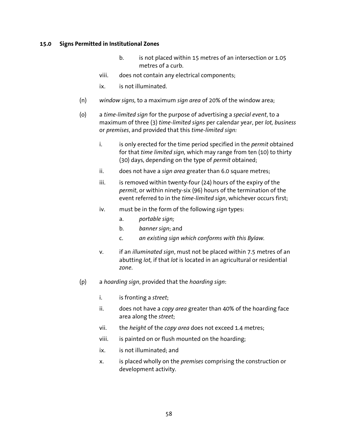- b. is not placed within 15 metres of an intersection or 1.05 metres of a curb.
- viii. does not contain any electrical components;
- ix. is not illuminated.
- (n) *window signs,* to a maximum *sign area* of 20% of the window area;
- (o) a *time-limited sign* for the purpose of advertising a *special event*, to a maximum of three (3) *time-limited signs* per calendar year, per *lot, business*  or *premises*, and provided that this *time-limited sign:* 
	- i. is only erected for the time period specified in the *permit* obtained for that *time limited sign,* which may range from ten (10) to thirty (30) days, depending on the type of *permit* obtained;
	- ii. does not have a *sign area* greater than 6.0 square metres;
	- iii. is removed within twenty-four  $(24)$  hours of the expiry of the *permit*, or within ninety-six (96) hours of the termination of the event referred to in the *time-limited sign*, whichever occurs first;
	- iv. must be in the form of the following *sign* types:
		- a. *portable sign;*
		- b. *banner sign*; and
		- c. *an existing sign which conforms with this Bylaw.*
	- v. if an *illuminated sign*, must not be placed within 7.5 metres of an abutting *lot,* if that *lot* is located in an agricultural or residential *zone*.
- (p) a *hoarding sign*, provided that the *hoarding sign*:
	- i. is fronting a *street*;
	- ii. does not have a *copy area* greater than 40% of the hoarding face area along the *street*;
	- vii. the *height* of the *copy area* does not exceed 1.4 metres;
	- viii. is painted on or flush mounted on the hoarding;
	- ix. is not illuminated; and
	- x. is placed wholly on the *premises* comprising the construction or development activity.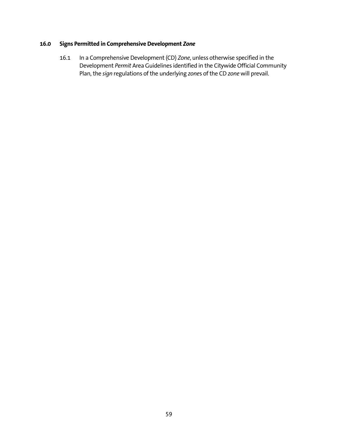# **16.0 Signs Permitted in Comprehensive Development** *Zone*

16.1 In a Comprehensive Development (CD) *Zone*, unless otherwise specified in the Development *Permit* Area Guidelines identified in the Citywide Official Community Plan, the *sign* regulations of the underlying *zone*s of the CD *zone* will prevail.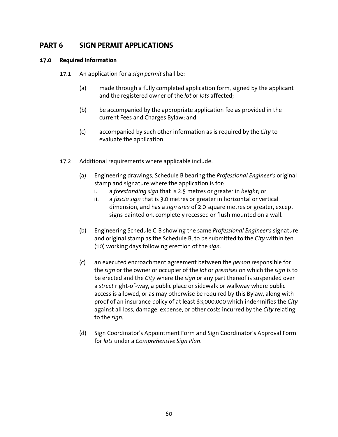# **PART 6 SIGN PERMIT APPLICATIONS**

# **17.0 Required Information**

- 17.1 An application for a *sign permit* shall be:
	- (a) made through a fully completed application form, signed by the applicant and the registered owner of the *lot* or *lots* affected;
	- (b) be accompanied by the appropriate application fee as provided in the current Fees and Charges Bylaw; and
	- (c) accompanied by such other information as is required by the *City* to evaluate the application.
- 17.2 Additional requirements where applicable include:
	- (a) Engineering drawings, Schedule B bearing the *Professional Engineer's* original stamp and signature where the application is for:
		- i. a *freestanding sign* that is 2.5 metres or greater in *height*; or
		- ii. a *fascia sign* that is 3.0 metres or greater in horizontal or vertical dimension, and has a *sign area* of 2.0 square metres or greater, except signs painted on, completely recessed or flush mounted on a wall.
	- (b) Engineering Schedule C-B showing the same *Professional Engineer's* signature and original stamp as the Schedule B, to be submitted to the *City* within ten (10) working days following erection of the *sign*.
	- (c) an executed encroachment agreement between the *person* responsible for the *sign* or the owner or occupier of the *lot* or *premises* on which the *sign* is to be erected and the *City* where the *sign* or any part thereof is suspended over a *street* right-of-way, a public place or sidewalk or walkway where public access is allowed, or as may otherwise be required by this Bylaw, along with proof of an insurance policy of at least \$3,000,000 which indemnifies the *City* against all loss, damage, expense, or other costs incurred by the *City* relating to the *sign.*
	- (d) Sign Coordinator's Appointment Form and Sign Coordinator's Approval Form for *lots* under a *Comprehensive Sign Plan*.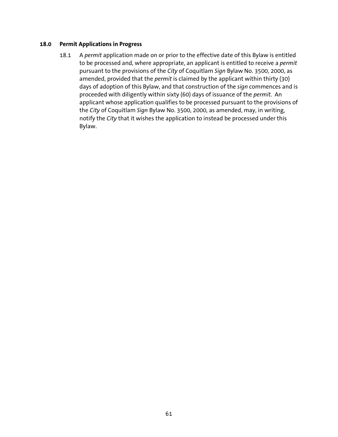#### **18.0 Permit Applications in Progress**

18.1 A *permit* application made on or prior to the effective date of this Bylaw is entitled to be processed and, where appropriate, an applicant is entitled to receive a *permit* pursuant to the provisions of the *City* of Coquitlam *Sign* Bylaw No. 3500, 2000, as amended, provided that the *permit* is claimed by the applicant within thirty (30) days of adoption of this Bylaw, and that construction of the *sign* commences and is proceeded with diligently within sixty (60) days of issuance of the *permit*. An applicant whose application qualifies to be processed pursuant to the provisions of the *City* of Coquitlam *Sign* Bylaw No. 3500, 2000, as amended, may, in writing, notify the *City* that it wishes the application to instead be processed under this Bylaw.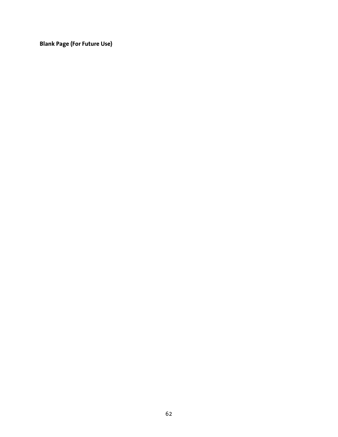**Blank Page (For Future Use)**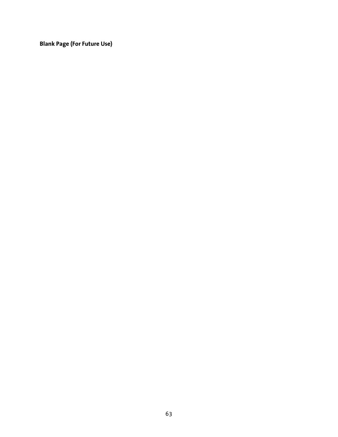**Blank Page (For Future Use)**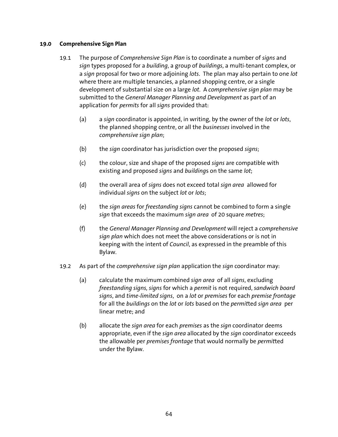#### **19.0 Comprehensive Sign Plan**

- 19.1 The purpose of *Comprehensive Sign Plan* is to coordinate a number of *signs* and *sign* types proposed for a *building*, a group of *buildings*, a multi-tenant complex, or a *sign* proposal for two or more adjoining *lots*. The plan may also pertain to one *lot* where there are multiple tenancies, a planned shopping centre, or a single development of substantial size on a large *lot*. A *comprehensive sign plan* may be submitted to the *General Manager Planning and Development* as part of an application for *permits* for all *signs* provided that:
	- (a) a *sign* coordinator is appointed, in writing, by the owner of the *lot* or *lots*, the planned shopping centre, or all the *businesses* involved in the *comprehensive sign plan*;
	- (b) the *sign* coordinator has jurisdiction over the proposed *signs*;
	- (c) the colour, size and shape of the proposed *signs* are compatible with existing and proposed *signs* and *building*s on the same *lot*;
	- (d) the overall area of *signs* does not exceed total *sign area* allowed for individual *signs* on the subject *lot* or *lots*;
	- (e) the *sign areas* for *freestanding signs* cannot be combined to form a single *sign* that exceeds the maximum *sign area* of 20 square *metres*;
	- (f) the *General Manager Planning and Development* will reject a *comprehensive sign plan* which does not meet the above considerations or is not in keeping with the intent of *Council*, as expressed in the preamble of this Bylaw.
- 19.2 As part of the *comprehensive sign plan* application the *sign* coordinator may:
	- (a) calculate the maximum combined *sign area* of all *signs*, excluding *freestanding signs, signs* for which a *permit* is not required, *sandwich board signs*, and *time-limited signs*, on a *lot* or *premises* for each *premise frontage* for all the *buildings* on the *lot* or *lots* based on the *permit*ted *sign area* per linear metre; and
	- (b) allocate the *sign area* for each *premises* as the *sign* coordinator deems appropriate, even if the *sign area* allocated by the *sign* coordinator exceeds the allowable per *premises frontage* that would normally be *permit*ted under the Bylaw.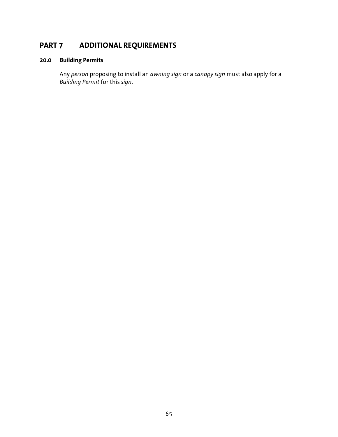# **PART 7 ADDITIONAL REQUIREMENTS**

# **20.0 Building Permits**

 Any *person* proposing to install an *awning sign* or a *canopy sign* must also apply for a *Building Permit* for this *sign*.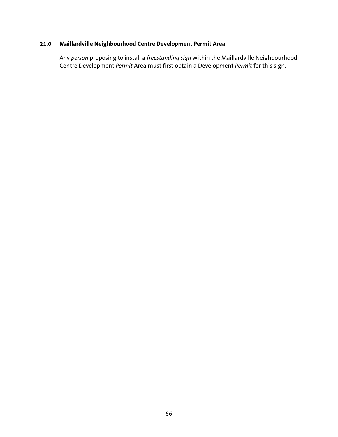# **21.0 Maillardville Neighbourhood Centre Development Permit Area**

 Any *person* proposing to install a *freestanding sign* within the Maillardville Neighbourhood Centre Development *Permit* Area must first obtain a Development *Permit* for this sign.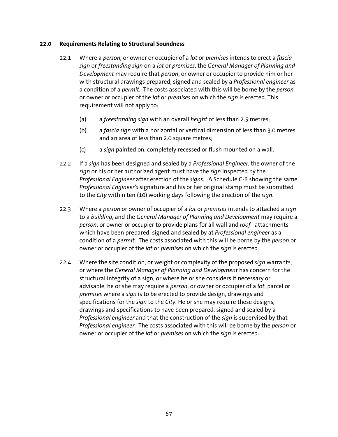### **22.0 Requirements Relating to Structural Soundness**

- 22.1 Where a *person,* or owner or occupier of a *lot* or *premises* intends to erect a *fascia sign* or *freestanding sign* on a *lot* or *premises*, the *General Manager of Planning and Development* may require that *person*, or owner or occupier to provide him or her with structural drawings prepared, signed and sealed by a *Professional engineer* as a condition of a *permit*. The costs associated with this will be borne by the *person* or owner or occupier of the *lot* or *premises* on which the *sign* is erected. This requirement will not apply to:
	- (a) a *freestanding sign* with an overall *height* of less than 2.5 metres;
	- (b) a *fascia sign* with a horizontal or vertical dimension of less than 3.0 metres, and an area of less than 2.0 square metres;
	- (c) a *sign* painted on, completely recessed or flush mounted on a wall.
- 22.2 If a *sign* has been designed and sealed by a *Professional Engineer*, the owner of the *sign* or his or her authorized agent must have the *sign* inspected by the *Professional Engineer* after erection of the *signs*. A Schedule C-B showing the same *Professional Engineer's* signature and his or her original stamp must be submitted to the *City* within ten (10) working days following the erection of the *sign*.
- 22.3 Where a *person* or owner of occupier of a *lot* or *premises* intends to attached a *sign*  to a *building*, and the *General Manager of Planning and Development* may require a *person*, or owner or occupier to provide plans for all wall and *roof* attachments which have been prepared, signed and sealed by at *Professional engineer* as a condition of a *permit*. The costs associated with this will be borne by the *person* or owner or occupier of the *lot* or *premises* on which the *sign* is erected.
- 22.4 Where the site condition, or weight or complexity of the proposed *sign* warrants, or where the *General Manager of Planning and Development* has concern for the structural integrity of a sign, or where he or she considers it necessary or advisable, he or she may require a *person*, or owner or occupier of a *lot*, parcel or *premises* where a *sign* is to be erected to provide design, drawings and specifications for the *sign* to the *City*. He or she may require these designs, drawings and specifications to have been prepared, signed and sealed by a *Professional engineer* and that the construction of the *sign* is supervised by that *Professional engineer*.The costs associated with this will be borne by the *person* or owner or occupier of the *lot* or *premises* on which the *sign* is erected.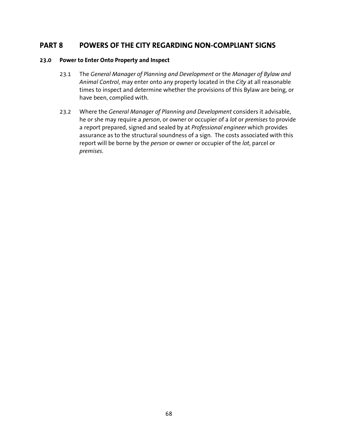# **PART 8 POWERS OF THE CITY REGARDING NON-COMPLIANT SIGNS**

#### **23.0 Power to Enter Onto Property and Inspect**

- 23.1 The *General Manager of Planning and Development* or the *Manager of Bylaw and Animal Control*, may enter onto any property located in the *City* at all reasonable times to inspect and determine whether the provisions of this Bylaw are being, or have been, complied with.
- 23.2 Where the *General Manager of Planning and Development* considers it advisable, he or she may require a *person*, or owner or occupier of a *lot* or *premises* to provide a report prepared, signed and sealed by at *Professional engineer* which provides assurance as to the structural soundness of a sign. The costs associated with this report will be borne by the *person* or owner or occupier of the *lot*, parcel or *premises*.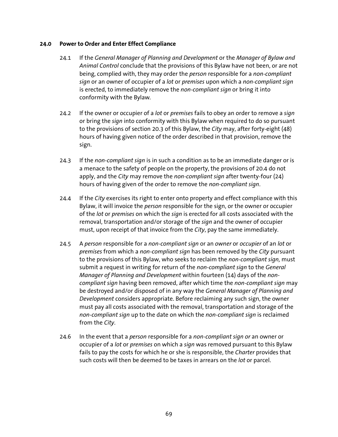### **24.0 Power to Order and Enter Effect Compliance**

- 24.1 If the *General Manager of Planning and Development* or the *Manager of Bylaw and Animal Control* conclude that the provisions of this Bylaw have not been, or are not being, complied with, they may order the *person* responsible for a *non-compliant sign* or an owner of occupier of a *lot* or *premises* upon which a *non-compliant sign*  is erected, to immediately remove the *non-compliant sign* or bring it into conformity with the Bylaw*.*
- 24.2 If the owner or occupier of a *lot* or *premises* fails to obey an order to remove a *sign*  or bring the *sign* into conformity with this Bylaw when required to do so pursuant to the provisions of section 20.3 of this Bylaw, the *City* may, after forty-eight (48) hours of having given notice of the order described in that provision, remove the sign.
- 24.3 If the *non-compliant sign* is in such a condition as to be an immediate danger or is a menace to the safety of people on the property, the provisions of 20.4 do not apply, and the *City* may remove the *non-compliant sign* after twenty-four (24) hours of having given of the order to remove the *non-compliant sign*.
- 24.4 If the *City* exercises its right to enter onto property and effect compliance with this Bylaw, it will invoice the *person* responsible for the sign, or the owner or occupier of the *lot* or *premises* on which the *sign* is erected for all costs associated with the removal, transportation and/or storage of the *sign* and the owner of occupier must, upon receipt of that invoice from the *City*, pay the same immediately.
- 24.5 A *person* responsible for a *non-compliant sign* or an *owner* or *occupier* of an *lot* or *premises* from which a *non-compliant sign* has been removed by the *City* pursuant to the provisions of this Bylaw, who seeks to reclaim the *non-compliant sign,* must submit a request in writing for return of the *non-compliant sign* to the *General Manager of Planning and Development* within fourteen (14) days of the *noncompliant sign* having been removed, after which time the *non-compliant sign* may be destroyed and/or disposed of in any way the *General Manager of Planning and Development* considers appropriate. Before reclaiming any such sign, the owner must pay all costs associated with the removal, transportation and storage of the *non-compliant sign* up to the date on which the *non-compliant sign* is reclaimed from the *City*.
- 24.6 In the event that a *person* responsible for a *non-compliant sign or* an owner or occupier of a *lot* or *premises* on which a *sign* was removed pursuant to this Bylaw fails to pay the costs for which he or she is responsible, the *Charter* provides that such costs will then be deemed to be taxes in arrears on the *lot* or parcel.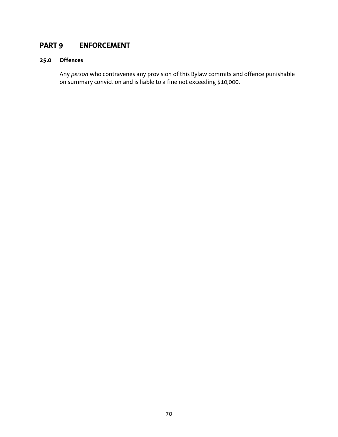# **PART 9 ENFORCEMENT**

# **25.0 Offences**

 Any *person* who contravenes any provision of this Bylaw commits and offence punishable on summary conviction and is liable to a fine not exceeding \$10,000.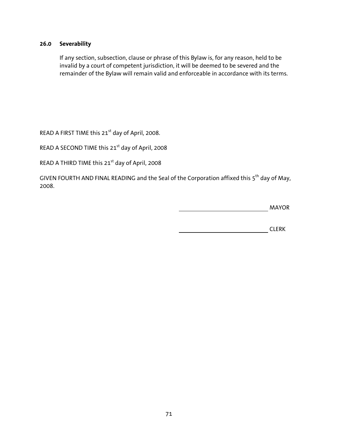# **26.0 Severability**

 If any section, subsection, clause or phrase of this Bylaw is, for any reason, held to be invalid by a court of competent jurisdiction, it will be deemed to be severed and the remainder of the Bylaw will remain valid and enforceable in accordance with its terms.

READ A FIRST TIME this 21<sup>st</sup> day of April, 2008.

READ A SECOND TIME this 21<sup>st</sup> day of April, 2008

READ A THIRD TIME this 21<sup>st</sup> day of April, 2008

GIVEN FOURTH AND FINAL READING and the Seal of the Corporation affixed this 5<sup>th</sup> day of May, 2008.

MAYOR

CLERK